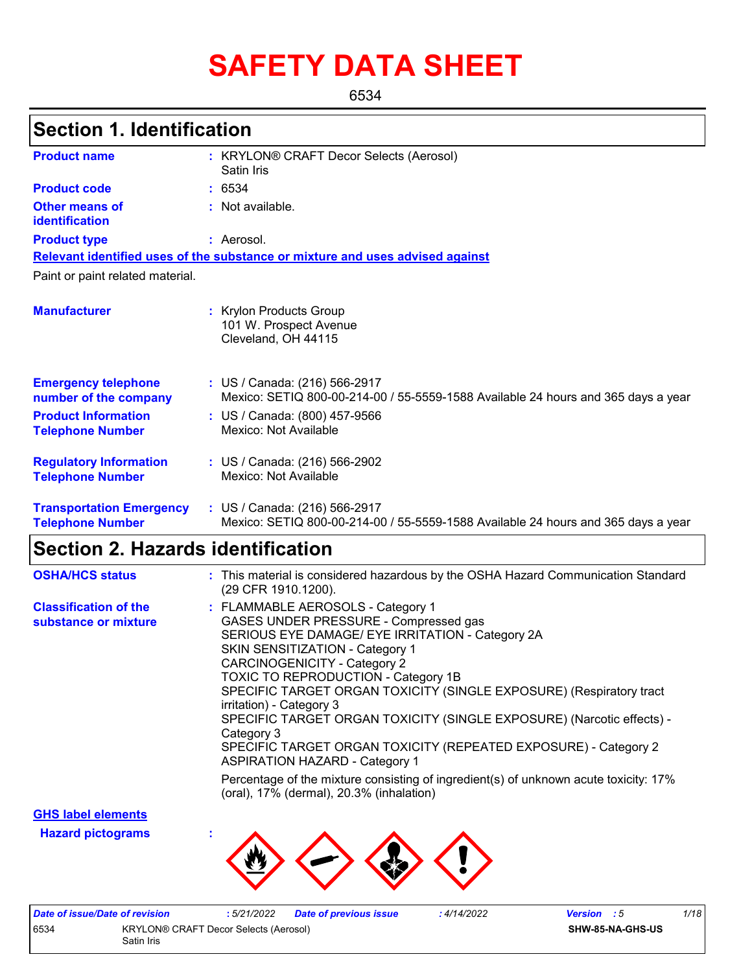# **SAFETY DATA SHEET**

6534

| <b>Section 1. Identification</b>                           |                                                                                                                    |
|------------------------------------------------------------|--------------------------------------------------------------------------------------------------------------------|
| <b>Product name</b>                                        | : KRYLON® CRAFT Decor Selects (Aerosol)<br>Satin Iris                                                              |
| <b>Product code</b>                                        | : 6534                                                                                                             |
| Other means of<br>identification                           | : Not available.                                                                                                   |
| <b>Product type</b>                                        | : Aerosol.                                                                                                         |
|                                                            | Relevant identified uses of the substance or mixture and uses advised against                                      |
| Paint or paint related material.                           |                                                                                                                    |
| <b>Manufacturer</b>                                        | : Krylon Products Group<br>101 W. Prospect Avenue<br>Cleveland, OH 44115                                           |
| <b>Emergency telephone</b><br>number of the company        | : US / Canada: (216) 566-2917<br>Mexico: SETIQ 800-00-214-00 / 55-5559-1588 Available 24 hours and 365 days a year |
| <b>Product Information</b><br><b>Telephone Number</b>      | : US / Canada: (800) 457-9566<br>Mexico: Not Available                                                             |
| <b>Regulatory Information</b><br><b>Telephone Number</b>   | : US / Canada: (216) 566-2902<br>Mexico: Not Available                                                             |
| <b>Transportation Emergency</b><br><b>Telephone Number</b> | : US / Canada: (216) 566-2917<br>Mexico: SETIQ 800-00-214-00 / 55-5559-1588 Available 24 hours and 365 days a year |

| <b>OSHA/HCS status</b>                               | : This material is considered hazardous by the OSHA Hazard Communication Standard<br>(29 CFR 1910.1200).                                                                                                                                                                                                                                                                                                                                                                                                                                                     |
|------------------------------------------------------|--------------------------------------------------------------------------------------------------------------------------------------------------------------------------------------------------------------------------------------------------------------------------------------------------------------------------------------------------------------------------------------------------------------------------------------------------------------------------------------------------------------------------------------------------------------|
| <b>Classification of the</b><br>substance or mixture | : FLAMMABLE AEROSOLS - Category 1<br>GASES UNDER PRESSURE - Compressed gas<br>SERIOUS EYE DAMAGE/ EYE IRRITATION - Category 2A<br><b>SKIN SENSITIZATION - Category 1</b><br>CARCINOGENICITY - Category 2<br><b>TOXIC TO REPRODUCTION - Category 1B</b><br>SPECIFIC TARGET ORGAN TOXICITY (SINGLE EXPOSURE) (Respiratory tract<br>irritation) - Category 3<br>SPECIFIC TARGET ORGAN TOXICITY (SINGLE EXPOSURE) (Narcotic effects) -<br>Category 3<br>SPECIFIC TARGET ORGAN TOXICITY (REPEATED EXPOSURE) - Category 2<br><b>ASPIRATION HAZARD - Category 1</b> |
|                                                      | Percentage of the mixture consisting of ingredient(s) of unknown acute toxicity: 17%<br>(oral), $17\%$ (dermal), $20.3\%$ (inhalation)                                                                                                                                                                                                                                                                                                                                                                                                                       |

**GHS label elements**

**Hazard pictograms :**



| Date of issue/Date of revision |                                       | : 5/21/2022 | <b>Date of previous issue</b> | 4/14/2022 | <b>Version</b> : 5      | 1/18 |
|--------------------------------|---------------------------------------|-------------|-------------------------------|-----------|-------------------------|------|
| 6534                           | KRYLON® CRAFT Decor Selects (Aerosol) |             |                               |           | <b>SHW-85-NA-GHS-US</b> |      |
|                                | Satin Iris                            |             |                               |           |                         |      |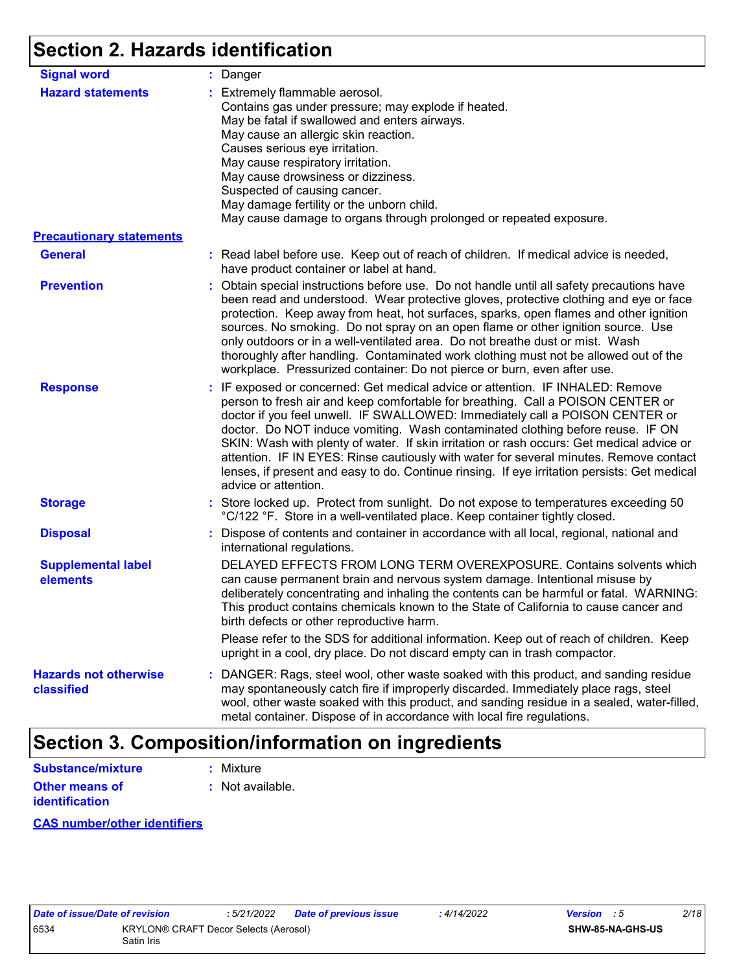# **Section 2. Hazards identification**

| <b>Signal word</b>                         | : Danger                                                                                                                                                                                                                                                                                                                                                                                                                                                                                                                                                                                                                                           |
|--------------------------------------------|----------------------------------------------------------------------------------------------------------------------------------------------------------------------------------------------------------------------------------------------------------------------------------------------------------------------------------------------------------------------------------------------------------------------------------------------------------------------------------------------------------------------------------------------------------------------------------------------------------------------------------------------------|
| <b>Hazard statements</b>                   | : Extremely flammable aerosol.<br>Contains gas under pressure; may explode if heated.<br>May be fatal if swallowed and enters airways.<br>May cause an allergic skin reaction.<br>Causes serious eye irritation.<br>May cause respiratory irritation.<br>May cause drowsiness or dizziness.<br>Suspected of causing cancer.<br>May damage fertility or the unborn child.<br>May cause damage to organs through prolonged or repeated exposure.                                                                                                                                                                                                     |
| <b>Precautionary statements</b>            |                                                                                                                                                                                                                                                                                                                                                                                                                                                                                                                                                                                                                                                    |
| <b>General</b>                             | : Read label before use. Keep out of reach of children. If medical advice is needed,<br>have product container or label at hand.                                                                                                                                                                                                                                                                                                                                                                                                                                                                                                                   |
| <b>Prevention</b>                          | : Obtain special instructions before use. Do not handle until all safety precautions have<br>been read and understood. Wear protective gloves, protective clothing and eye or face<br>protection. Keep away from heat, hot surfaces, sparks, open flames and other ignition<br>sources. No smoking. Do not spray on an open flame or other ignition source. Use<br>only outdoors or in a well-ventilated area. Do not breathe dust or mist. Wash<br>thoroughly after handling. Contaminated work clothing must not be allowed out of the<br>workplace. Pressurized container: Do not pierce or burn, even after use.                               |
| <b>Response</b>                            | : IF exposed or concerned: Get medical advice or attention. IF INHALED: Remove<br>person to fresh air and keep comfortable for breathing. Call a POISON CENTER or<br>doctor if you feel unwell. IF SWALLOWED: Immediately call a POISON CENTER or<br>doctor. Do NOT induce vomiting. Wash contaminated clothing before reuse. IF ON<br>SKIN: Wash with plenty of water. If skin irritation or rash occurs: Get medical advice or<br>attention. IF IN EYES: Rinse cautiously with water for several minutes. Remove contact<br>lenses, if present and easy to do. Continue rinsing. If eye irritation persists: Get medical<br>advice or attention. |
| <b>Storage</b>                             | : Store locked up. Protect from sunlight. Do not expose to temperatures exceeding 50<br>°C/122 °F. Store in a well-ventilated place. Keep container tightly closed.                                                                                                                                                                                                                                                                                                                                                                                                                                                                                |
| <b>Disposal</b>                            | : Dispose of contents and container in accordance with all local, regional, national and<br>international regulations.                                                                                                                                                                                                                                                                                                                                                                                                                                                                                                                             |
| <b>Supplemental label</b><br>elements      | DELAYED EFFECTS FROM LONG TERM OVEREXPOSURE. Contains solvents which<br>can cause permanent brain and nervous system damage. Intentional misuse by<br>deliberately concentrating and inhaling the contents can be harmful or fatal. WARNING:<br>This product contains chemicals known to the State of California to cause cancer and<br>birth defects or other reproductive harm.                                                                                                                                                                                                                                                                  |
|                                            | Please refer to the SDS for additional information. Keep out of reach of children. Keep<br>upright in a cool, dry place. Do not discard empty can in trash compactor.                                                                                                                                                                                                                                                                                                                                                                                                                                                                              |
| <b>Hazards not otherwise</b><br>classified | : DANGER: Rags, steel wool, other waste soaked with this product, and sanding residue<br>may spontaneously catch fire if improperly discarded. Immediately place rags, steel<br>wool, other waste soaked with this product, and sanding residue in a sealed, water-filled,<br>metal container. Dispose of in accordance with local fire regulations.                                                                                                                                                                                                                                                                                               |

# **Section 3. Composition/information on ingredients**

| Substance/mixture     | : Mixture        |
|-----------------------|------------------|
| <b>Other means of</b> | : Not available. |
| <b>identification</b> |                  |

#### **CAS number/other identifiers**

| Date of issue/Date of revision |                                                     | : 5/21/2022 | Date of previous issue | : 4/14/2022 | <b>Version</b> : 5 | 2/18 |  |
|--------------------------------|-----------------------------------------------------|-------------|------------------------|-------------|--------------------|------|--|
| 6534                           | KRYLON® CRAFT Decor Selects (Aerosol)<br>Satin Iris |             |                        |             | SHW-85-NA-GHS-US   |      |  |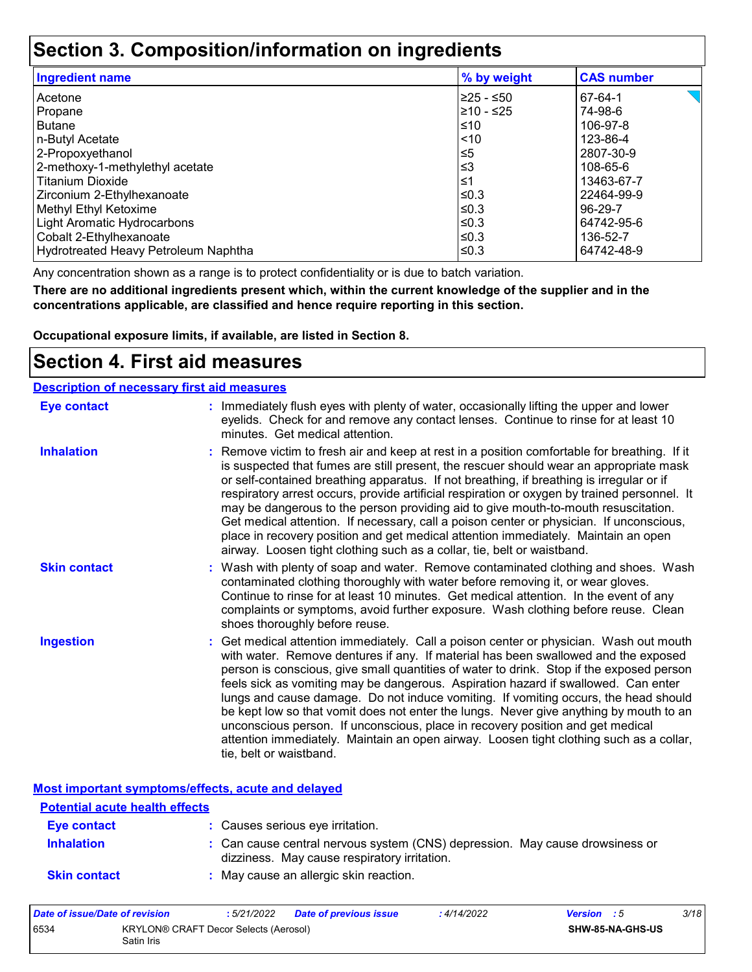### **Section 3. Composition/information on ingredients**

| <b>Ingredient name</b>               | % by weight | <b>CAS number</b> |
|--------------------------------------|-------------|-------------------|
| Acetone                              | l≥25 - ≤50  | 67-64-1           |
| Propane                              | l≥10 - ≤25  | 74-98-6           |
| <b>Butane</b>                        | ≤10         | 106-97-8          |
| n-Butyl Acetate                      | $ $ < 10    | 123-86-4          |
| 2-Propoxyethanol                     | $\leq 5$    | 2807-30-9         |
| 2-methoxy-1-methylethyl acetate      | $≤3$        | 108-65-6          |
| <b>Titanium Dioxide</b>              | 1≤          | 13463-67-7        |
| Zirconium 2-Ethylhexanoate           | l≤0.3       | 22464-99-9        |
| Methyl Ethyl Ketoxime                | ≤0.3        | 96-29-7           |
| Light Aromatic Hydrocarbons          | ≤0.3        | 64742-95-6        |
| Cobalt 2-Ethylhexanoate              | ≤0.3        | 136-52-7          |
| Hydrotreated Heavy Petroleum Naphtha | ≤0.3        | 64742-48-9        |

Any concentration shown as a range is to protect confidentiality or is due to batch variation.

**There are no additional ingredients present which, within the current knowledge of the supplier and in the concentrations applicable, are classified and hence require reporting in this section.**

**Occupational exposure limits, if available, are listed in Section 8.**

### **Section 4. First aid measures**

| <b>Description of necessary first aid measures</b> |                                                                                                                                                                                                                                                                                                                                                                                                                                                                                                                                                                                                                                                                                                                                                         |
|----------------------------------------------------|---------------------------------------------------------------------------------------------------------------------------------------------------------------------------------------------------------------------------------------------------------------------------------------------------------------------------------------------------------------------------------------------------------------------------------------------------------------------------------------------------------------------------------------------------------------------------------------------------------------------------------------------------------------------------------------------------------------------------------------------------------|
| <b>Eye contact</b>                                 | : Immediately flush eyes with plenty of water, occasionally lifting the upper and lower<br>eyelids. Check for and remove any contact lenses. Continue to rinse for at least 10<br>minutes. Get medical attention.                                                                                                                                                                                                                                                                                                                                                                                                                                                                                                                                       |
| <b>Inhalation</b>                                  | : Remove victim to fresh air and keep at rest in a position comfortable for breathing. If it<br>is suspected that fumes are still present, the rescuer should wear an appropriate mask<br>or self-contained breathing apparatus. If not breathing, if breathing is irregular or if<br>respiratory arrest occurs, provide artificial respiration or oxygen by trained personnel. It<br>may be dangerous to the person providing aid to give mouth-to-mouth resuscitation.<br>Get medical attention. If necessary, call a poison center or physician. If unconscious,<br>place in recovery position and get medical attention immediately. Maintain an open<br>airway. Loosen tight clothing such as a collar, tie, belt or waistband.                    |
| <b>Skin contact</b>                                | : Wash with plenty of soap and water. Remove contaminated clothing and shoes. Wash<br>contaminated clothing thoroughly with water before removing it, or wear gloves.<br>Continue to rinse for at least 10 minutes. Get medical attention. In the event of any<br>complaints or symptoms, avoid further exposure. Wash clothing before reuse. Clean<br>shoes thoroughly before reuse.                                                                                                                                                                                                                                                                                                                                                                   |
| <b>Ingestion</b>                                   | : Get medical attention immediately. Call a poison center or physician. Wash out mouth<br>with water. Remove dentures if any. If material has been swallowed and the exposed<br>person is conscious, give small quantities of water to drink. Stop if the exposed person<br>feels sick as vomiting may be dangerous. Aspiration hazard if swallowed. Can enter<br>lungs and cause damage. Do not induce vomiting. If vomiting occurs, the head should<br>be kept low so that vomit does not enter the lungs. Never give anything by mouth to an<br>unconscious person. If unconscious, place in recovery position and get medical<br>attention immediately. Maintain an open airway. Loosen tight clothing such as a collar,<br>tie, belt or waistband. |

**Most important symptoms/effects, acute and delayed**

| <u>noot miliot turit of miliotomoronol uouto umu uomi ou</u><br><b>Potential acute health effects</b> |                                                                                                                              |  |
|-------------------------------------------------------------------------------------------------------|------------------------------------------------------------------------------------------------------------------------------|--|
| Eye contact                                                                                           | : Causes serious eye irritation.                                                                                             |  |
| <b>Inhalation</b>                                                                                     | : Can cause central nervous system (CNS) depression. May cause drowsiness or<br>dizziness. May cause respiratory irritation. |  |
| <b>Skin contact</b>                                                                                   | : May cause an allergic skin reaction.                                                                                       |  |

| Date of issue/Date of revision |                                                            | : 5/21/2022 | Date of previous issue | : 4/14/2022 | <b>Version</b> : 5 |                  | 3/18 |
|--------------------------------|------------------------------------------------------------|-------------|------------------------|-------------|--------------------|------------------|------|
| 6534                           | <b>KRYLON® CRAFT Decor Selects (Aerosol)</b><br>Satin Iris |             |                        |             |                    | SHW-85-NA-GHS-US |      |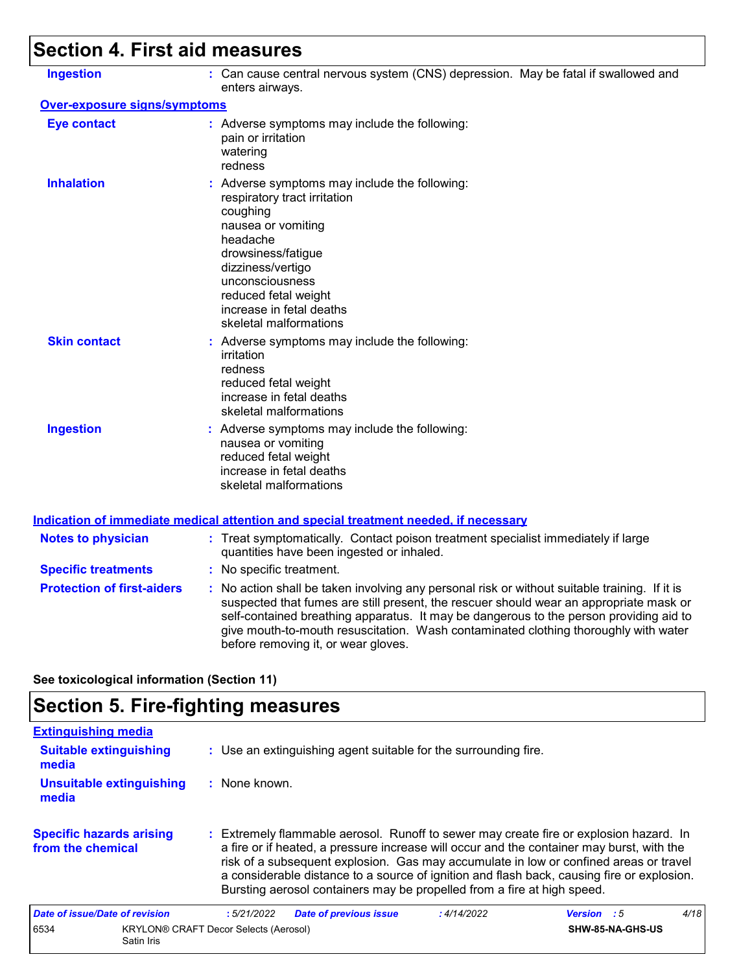# **Section 4. First aid measures**

| <b>Ingestion</b>                    | : Can cause central nervous system (CNS) depression. May be fatal if swallowed and<br>enters airways.                                                                                                                                                                                                                                                                                                           |
|-------------------------------------|-----------------------------------------------------------------------------------------------------------------------------------------------------------------------------------------------------------------------------------------------------------------------------------------------------------------------------------------------------------------------------------------------------------------|
| <b>Over-exposure signs/symptoms</b> |                                                                                                                                                                                                                                                                                                                                                                                                                 |
| <b>Eye contact</b>                  | : Adverse symptoms may include the following:<br>pain or irritation<br>watering<br>redness                                                                                                                                                                                                                                                                                                                      |
| <b>Inhalation</b>                   | : Adverse symptoms may include the following:<br>respiratory tract irritation<br>coughing<br>nausea or vomiting<br>headache<br>drowsiness/fatigue<br>dizziness/vertigo<br>unconsciousness<br>reduced fetal weight<br>increase in fetal deaths<br>skeletal malformations                                                                                                                                         |
| <b>Skin contact</b>                 | : Adverse symptoms may include the following:<br>irritation<br>redness<br>reduced fetal weight<br>increase in fetal deaths<br>skeletal malformations                                                                                                                                                                                                                                                            |
| <b>Ingestion</b>                    | : Adverse symptoms may include the following:<br>nausea or vomiting<br>reduced fetal weight<br>increase in fetal deaths<br>skeletal malformations                                                                                                                                                                                                                                                               |
|                                     | <b>Indication of immediate medical attention and special treatment needed, if necessary</b>                                                                                                                                                                                                                                                                                                                     |
| <b>Notes to physician</b>           | : Treat symptomatically. Contact poison treatment specialist immediately if large<br>quantities have been ingested or inhaled.                                                                                                                                                                                                                                                                                  |
| <b>Specific treatments</b>          | : No specific treatment.                                                                                                                                                                                                                                                                                                                                                                                        |
| <b>Protection of first-aiders</b>   | : No action shall be taken involving any personal risk or without suitable training. If it is<br>suspected that fumes are still present, the rescuer should wear an appropriate mask or<br>self-contained breathing apparatus. It may be dangerous to the person providing aid to<br>give mouth-to-mouth resuscitation. Wash contaminated clothing thoroughly with water<br>before removing it, or wear gloves. |

**See toxicological information (Section 11)**

## **Section 5. Fire-fighting measures**

| <b>Extinguishing media</b>                           |                                                                                                                                                                                                                                                                                                                                                                                                                                                       |      |
|------------------------------------------------------|-------------------------------------------------------------------------------------------------------------------------------------------------------------------------------------------------------------------------------------------------------------------------------------------------------------------------------------------------------------------------------------------------------------------------------------------------------|------|
| <b>Suitable extinguishing</b><br>media               | : Use an extinguishing agent suitable for the surrounding fire.                                                                                                                                                                                                                                                                                                                                                                                       |      |
| Unsuitable extinguishing<br>media                    | : None known.                                                                                                                                                                                                                                                                                                                                                                                                                                         |      |
| <b>Specific hazards arising</b><br>from the chemical | : Extremely flammable aerosol. Runoff to sewer may create fire or explosion hazard. In<br>a fire or if heated, a pressure increase will occur and the container may burst, with the<br>risk of a subsequent explosion. Gas may accumulate in low or confined areas or travel<br>a considerable distance to a source of ignition and flash back, causing fire or explosion.<br>Bursting aerosol containers may be propelled from a fire at high speed. |      |
| Date of issue/Date of revision                       | <b>Date of previous issue</b><br>: 4/14/2022<br>:5/21/2022<br><b>Version</b> : 5                                                                                                                                                                                                                                                                                                                                                                      | 4/18 |
| 6534<br>Satin Iris                                   | <b>KRYLON® CRAFT Decor Selects (Aerosol)</b><br>SHW-85-NA-GHS-US                                                                                                                                                                                                                                                                                                                                                                                      |      |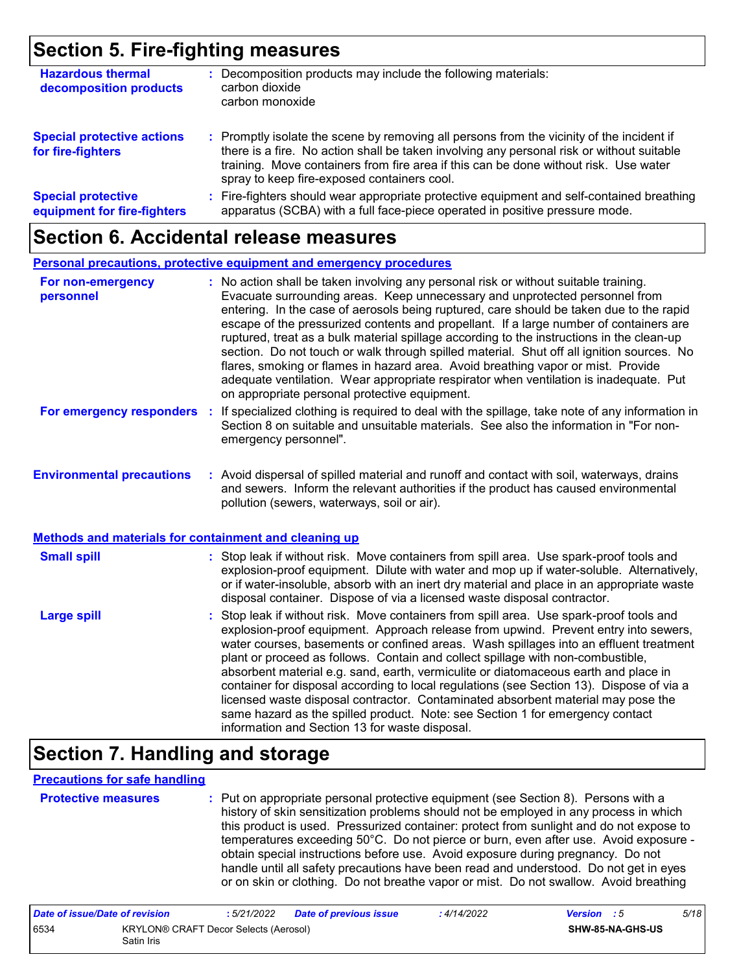### **Section 5. Fire-fighting measures**

| <b>Hazardous thermal</b><br>decomposition products       | Decomposition products may include the following materials:<br>carbon dioxide<br>carbon monoxide                                                                                                                                                                                                                              |  |
|----------------------------------------------------------|-------------------------------------------------------------------------------------------------------------------------------------------------------------------------------------------------------------------------------------------------------------------------------------------------------------------------------|--|
| <b>Special protective actions</b><br>for fire-fighters   | : Promptly isolate the scene by removing all persons from the vicinity of the incident if<br>there is a fire. No action shall be taken involving any personal risk or without suitable<br>training. Move containers from fire area if this can be done without risk. Use water<br>spray to keep fire-exposed containers cool. |  |
| <b>Special protective</b><br>equipment for fire-fighters | Fire-fighters should wear appropriate protective equipment and self-contained breathing<br>÷.<br>apparatus (SCBA) with a full face-piece operated in positive pressure mode.                                                                                                                                                  |  |

### **Section 6. Accidental release measures**

|                                                                                                  | Personal precautions, protective equipment and emergency procedures                                                                                                                                                                                                                                                                                                                                                                                                                                                                                                                                                                                                                                                                                                              |  |
|--------------------------------------------------------------------------------------------------|----------------------------------------------------------------------------------------------------------------------------------------------------------------------------------------------------------------------------------------------------------------------------------------------------------------------------------------------------------------------------------------------------------------------------------------------------------------------------------------------------------------------------------------------------------------------------------------------------------------------------------------------------------------------------------------------------------------------------------------------------------------------------------|--|
| For non-emergency<br>personnel                                                                   | : No action shall be taken involving any personal risk or without suitable training.<br>Evacuate surrounding areas. Keep unnecessary and unprotected personnel from<br>entering. In the case of aerosols being ruptured, care should be taken due to the rapid<br>escape of the pressurized contents and propellant. If a large number of containers are<br>ruptured, treat as a bulk material spillage according to the instructions in the clean-up<br>section. Do not touch or walk through spilled material. Shut off all ignition sources. No<br>flares, smoking or flames in hazard area. Avoid breathing vapor or mist. Provide<br>adequate ventilation. Wear appropriate respirator when ventilation is inadequate. Put<br>on appropriate personal protective equipment. |  |
| For emergency responders                                                                         | : If specialized clothing is required to deal with the spillage, take note of any information in<br>Section 8 on suitable and unsuitable materials. See also the information in "For non-<br>emergency personnel".                                                                                                                                                                                                                                                                                                                                                                                                                                                                                                                                                               |  |
| <b>Environmental precautions</b><br><b>Methods and materials for containment and cleaning up</b> | : Avoid dispersal of spilled material and runoff and contact with soil, waterways, drains<br>and sewers. Inform the relevant authorities if the product has caused environmental<br>pollution (sewers, waterways, soil or air).                                                                                                                                                                                                                                                                                                                                                                                                                                                                                                                                                  |  |
| <b>Small spill</b>                                                                               | : Stop leak if without risk. Move containers from spill area. Use spark-proof tools and                                                                                                                                                                                                                                                                                                                                                                                                                                                                                                                                                                                                                                                                                          |  |
|                                                                                                  | explosion-proof equipment. Dilute with water and mop up if water-soluble. Alternatively,<br>or if water-insoluble, absorb with an inert dry material and place in an appropriate waste<br>disposal container. Dispose of via a licensed waste disposal contractor.                                                                                                                                                                                                                                                                                                                                                                                                                                                                                                               |  |
| <b>Large spill</b>                                                                               | : Stop leak if without risk. Move containers from spill area. Use spark-proof tools and<br>explosion-proof equipment. Approach release from upwind. Prevent entry into sewers,<br>water courses, basements or confined areas. Wash spillages into an effluent treatment<br>plant or proceed as follows. Contain and collect spillage with non-combustible,<br>absorbent material e.g. sand, earth, vermiculite or diatomaceous earth and place in<br>container for disposal according to local regulations (see Section 13). Dispose of via a<br>licensed waste disposal contractor. Contaminated absorbent material may pose the<br>same hazard as the spilled product. Note: see Section 1 for emergency contact<br>information and Section 13 for waste disposal.             |  |

### **Section 7. Handling and storage**

#### **Precautions for safe handling**

| <b>Protective mea</b> |  |  |
|-----------------------|--|--|
|                       |  |  |
|                       |  |  |

**Protective measures :** Put on appropriate personal protective equipment (see Section 8). Persons with a history of skin sensitization problems should not be employed in any process in which this product is used. Pressurized container: protect from sunlight and do not expose to temperatures exceeding 50°C. Do not pierce or burn, even after use. Avoid exposure obtain special instructions before use. Avoid exposure during pregnancy. Do not handle until all safety precautions have been read and understood. Do not get in eyes or on skin or clothing. Do not breathe vapor or mist. Do not swallow. Avoid breathing

| Date of issue/Date of revision |                                                     | : 5/21/2022 | Date of previous issue | : 4/14/2022 | <b>Version</b> : 5 |                         | 5/18 |
|--------------------------------|-----------------------------------------------------|-------------|------------------------|-------------|--------------------|-------------------------|------|
| 6534                           | KRYLON® CRAFT Decor Selects (Aerosol)<br>Satin Iris |             |                        |             |                    | <b>SHW-85-NA-GHS-US</b> |      |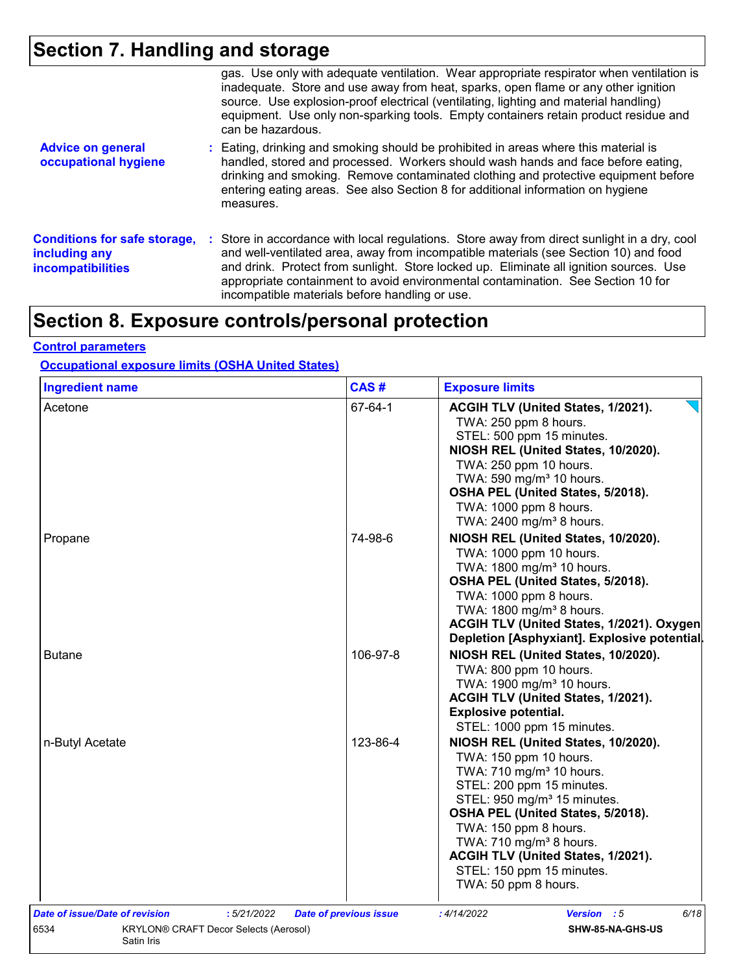# **Section 7. Handling and storage**

|                                                                                  | gas. Use only with adequate ventilation. Wear appropriate respirator when ventilation is<br>inadequate. Store and use away from heat, sparks, open flame or any other ignition<br>source. Use explosion-proof electrical (ventilating, lighting and material handling)<br>equipment. Use only non-sparking tools. Empty containers retain product residue and<br>can be hazardous.                                   |
|----------------------------------------------------------------------------------|----------------------------------------------------------------------------------------------------------------------------------------------------------------------------------------------------------------------------------------------------------------------------------------------------------------------------------------------------------------------------------------------------------------------|
| <b>Advice on general</b><br>occupational hygiene                                 | : Eating, drinking and smoking should be prohibited in areas where this material is<br>handled, stored and processed. Workers should wash hands and face before eating,<br>drinking and smoking. Remove contaminated clothing and protective equipment before<br>entering eating areas. See also Section 8 for additional information on hygiene<br>measures.                                                        |
| <b>Conditions for safe storage,</b><br>including any<br><b>incompatibilities</b> | : Store in accordance with local regulations. Store away from direct sunlight in a dry, cool<br>and well-ventilated area, away from incompatible materials (see Section 10) and food<br>and drink. Protect from sunlight. Store locked up. Eliminate all ignition sources. Use<br>appropriate containment to avoid environmental contamination. See Section 10 for<br>incompatible materials before handling or use. |

# **Section 8. Exposure controls/personal protection**

#### **Control parameters**

#### **Occupational exposure limits (OSHA United States)**

| <b>Ingredient name</b>         |                                              | CAS#                          | <b>Exposure limits</b>                                                                                                                                                                                                                                                                                                                                                       |
|--------------------------------|----------------------------------------------|-------------------------------|------------------------------------------------------------------------------------------------------------------------------------------------------------------------------------------------------------------------------------------------------------------------------------------------------------------------------------------------------------------------------|
| Acetone                        |                                              | 67-64-1                       | ACGIH TLV (United States, 1/2021).<br>TWA: 250 ppm 8 hours.<br>STEL: 500 ppm 15 minutes.<br>NIOSH REL (United States, 10/2020).<br>TWA: 250 ppm 10 hours.<br>TWA: 590 mg/m <sup>3</sup> 10 hours.<br>OSHA PEL (United States, 5/2018).<br>TWA: 1000 ppm 8 hours.<br>TWA: 2400 mg/m <sup>3</sup> 8 hours.                                                                     |
| Propane                        |                                              | 74-98-6                       | NIOSH REL (United States, 10/2020).<br>TWA: 1000 ppm 10 hours.<br>TWA: 1800 mg/m <sup>3</sup> 10 hours.<br>OSHA PEL (United States, 5/2018).<br>TWA: 1000 ppm 8 hours.<br>TWA: 1800 mg/m <sup>3</sup> 8 hours.<br>ACGIH TLV (United States, 1/2021). Oxygen<br>Depletion [Asphyxiant]. Explosive potential.                                                                  |
| <b>Butane</b>                  |                                              | 106-97-8                      | NIOSH REL (United States, 10/2020).<br>TWA: 800 ppm 10 hours.<br>TWA: 1900 mg/m <sup>3</sup> 10 hours.<br>ACGIH TLV (United States, 1/2021).<br><b>Explosive potential.</b><br>STEL: 1000 ppm 15 minutes.                                                                                                                                                                    |
| n-Butyl Acetate                |                                              | 123-86-4                      | NIOSH REL (United States, 10/2020).<br>TWA: 150 ppm 10 hours.<br>TWA: 710 mg/m <sup>3</sup> 10 hours.<br>STEL: 200 ppm 15 minutes.<br>STEL: 950 mg/m <sup>3</sup> 15 minutes.<br>OSHA PEL (United States, 5/2018).<br>TWA: 150 ppm 8 hours.<br>TWA: $710 \text{ mg/m}^3$ 8 hours.<br>ACGIH TLV (United States, 1/2021).<br>STEL: 150 ppm 15 minutes.<br>TWA: 50 ppm 8 hours. |
| Date of issue/Date of revision | :5/21/2022                                   | <b>Date of previous issue</b> | : 4/14/2022<br>6/18<br><b>Version</b> : 5                                                                                                                                                                                                                                                                                                                                    |
| 6534<br>Satin Iris             | <b>KRYLON® CRAFT Decor Selects (Aerosol)</b> |                               | SHW-85-NA-GHS-US                                                                                                                                                                                                                                                                                                                                                             |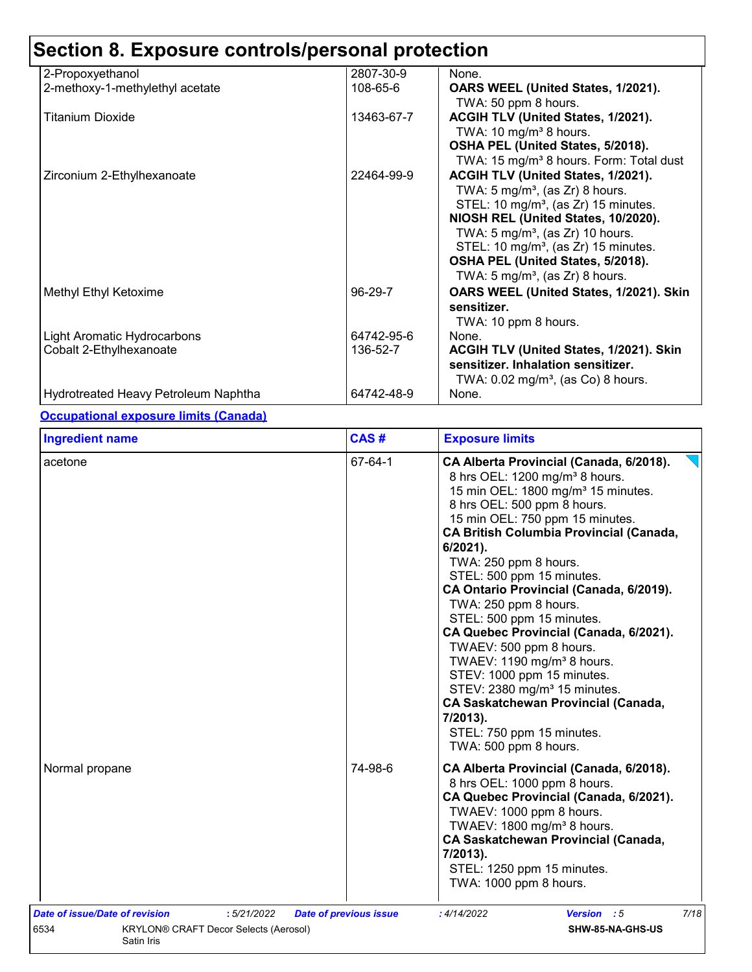| 2-Propoxyethanol                     | 2807-30-9  | None.                                               |
|--------------------------------------|------------|-----------------------------------------------------|
| 2-methoxy-1-methylethyl acetate      | 108-65-6   | OARS WEEL (United States, 1/2021).                  |
|                                      |            | TWA: 50 ppm 8 hours.                                |
| <b>Titanium Dioxide</b>              | 13463-67-7 | ACGIH TLV (United States, 1/2021).                  |
|                                      |            | TWA: $10 \text{ mg/m}^3$ 8 hours.                   |
|                                      |            | OSHA PEL (United States, 5/2018).                   |
|                                      |            | TWA: 15 mg/m <sup>3</sup> 8 hours. Form: Total dust |
| Zirconium 2-Ethylhexanoate           | 22464-99-9 | ACGIH TLV (United States, 1/2021).                  |
|                                      |            | TWA: $5 \text{ mg/m}^3$ , (as Zr) 8 hours.          |
|                                      |            | STEL: 10 mg/m <sup>3</sup> , (as Zr) 15 minutes.    |
|                                      |            | NIOSH REL (United States, 10/2020).                 |
|                                      |            | TWA: $5 \text{ mg/m}^3$ , (as Zr) 10 hours.         |
|                                      |            | STEL: 10 mg/m <sup>3</sup> , (as Zr) 15 minutes.    |
|                                      |            | OSHA PEL (United States, 5/2018).                   |
|                                      |            | TWA: $5 \text{ mg/m}^3$ , (as Zr) 8 hours.          |
| Methyl Ethyl Ketoxime                | 96-29-7    | OARS WEEL (United States, 1/2021). Skin             |
|                                      |            | sensitizer.                                         |
|                                      |            | TWA: 10 ppm 8 hours.                                |
| <b>Light Aromatic Hydrocarbons</b>   | 64742-95-6 | None.                                               |
| Cobalt 2-Ethylhexanoate              | 136-52-7   | ACGIH TLV (United States, 1/2021). Skin             |
|                                      |            | sensitizer. Inhalation sensitizer.                  |
|                                      |            | TWA: $0.02$ mg/m <sup>3</sup> , (as Co) 8 hours.    |
| Hydrotreated Heavy Petroleum Naphtha | 64742-48-9 | None.                                               |

#### **Occupational exposure limits (Canada)**

| <b>Ingredient name</b>                                                                                             | CAS#                          | <b>Exposure limits</b>                                                                                                                                                                                                                                                                                                                                                                                                                                                                                                                                                                                                                                                                                                                     |
|--------------------------------------------------------------------------------------------------------------------|-------------------------------|--------------------------------------------------------------------------------------------------------------------------------------------------------------------------------------------------------------------------------------------------------------------------------------------------------------------------------------------------------------------------------------------------------------------------------------------------------------------------------------------------------------------------------------------------------------------------------------------------------------------------------------------------------------------------------------------------------------------------------------------|
| acetone                                                                                                            | 67-64-1                       | CA Alberta Provincial (Canada, 6/2018).<br>8 hrs OEL: 1200 mg/m <sup>3</sup> 8 hours.<br>15 min OEL: 1800 mg/m <sup>3</sup> 15 minutes.<br>8 hrs OEL: 500 ppm 8 hours.<br>15 min OEL: 750 ppm 15 minutes.<br><b>CA British Columbia Provincial (Canada,</b><br>$6/2021$ ).<br>TWA: 250 ppm 8 hours.<br>STEL: 500 ppm 15 minutes.<br>CA Ontario Provincial (Canada, 6/2019).<br>TWA: 250 ppm 8 hours.<br>STEL: 500 ppm 15 minutes.<br>CA Quebec Provincial (Canada, 6/2021).<br>TWAEV: 500 ppm 8 hours.<br>TWAEV: 1190 mg/m <sup>3</sup> 8 hours.<br>STEV: 1000 ppm 15 minutes.<br>STEV: 2380 mg/m <sup>3</sup> 15 minutes.<br><b>CA Saskatchewan Provincial (Canada,</b><br>7/2013).<br>STEL: 750 ppm 15 minutes.<br>TWA: 500 ppm 8 hours. |
| Normal propane                                                                                                     | 74-98-6                       | CA Alberta Provincial (Canada, 6/2018).<br>8 hrs OEL: 1000 ppm 8 hours.<br>CA Quebec Provincial (Canada, 6/2021).<br>TWAEV: 1000 ppm 8 hours.<br>TWAEV: 1800 mg/m <sup>3</sup> 8 hours.<br><b>CA Saskatchewan Provincial (Canada,</b><br>7/2013).<br>STEL: 1250 ppm 15 minutes.<br>TWA: 1000 ppm 8 hours.                                                                                                                                                                                                                                                                                                                                                                                                                                  |
| Date of issue/Date of revision<br>:5/21/2022<br>6534<br><b>KRYLON® CRAFT Decor Selects (Aerosol)</b><br>Satin Iris | <b>Date of previous issue</b> | 7/18<br>Version : 5<br>:4/14/2022<br>SHW-85-NA-GHS-US                                                                                                                                                                                                                                                                                                                                                                                                                                                                                                                                                                                                                                                                                      |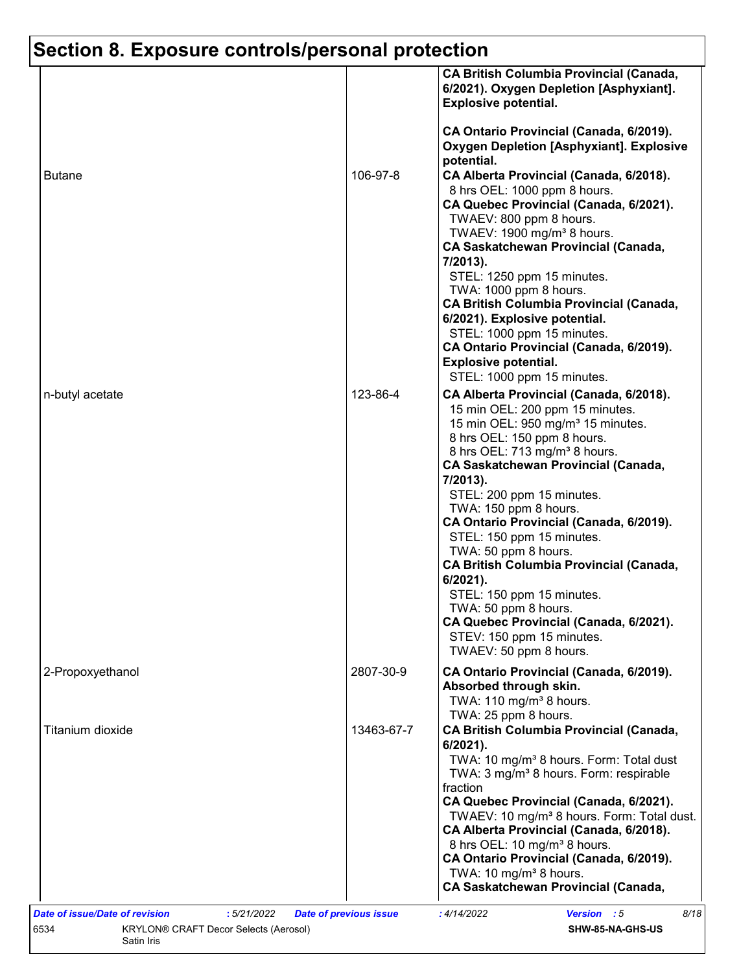|                  |            | 6/2021). Oxygen Depletion [Asphyxiant].<br><b>Explosive potential.</b><br>CA Ontario Provincial (Canada, 6/2019).           |
|------------------|------------|-----------------------------------------------------------------------------------------------------------------------------|
|                  |            | <b>Oxygen Depletion [Asphyxiant]. Explosive</b>                                                                             |
| <b>Butane</b>    | 106-97-8   | potential.<br>CA Alberta Provincial (Canada, 6/2018).<br>8 hrs OEL: 1000 ppm 8 hours.                                       |
|                  |            | CA Quebec Provincial (Canada, 6/2021).<br>TWAEV: 800 ppm 8 hours.                                                           |
|                  |            | TWAEV: 1900 mg/m <sup>3</sup> 8 hours.<br><b>CA Saskatchewan Provincial (Canada,</b>                                        |
|                  |            | 7/2013).<br>STEL: 1250 ppm 15 minutes.                                                                                      |
|                  |            | TWA: 1000 ppm 8 hours.<br><b>CA British Columbia Provincial (Canada,</b>                                                    |
|                  |            | 6/2021). Explosive potential.<br>STEL: 1000 ppm 15 minutes.                                                                 |
|                  |            | CA Ontario Provincial (Canada, 6/2019).<br><b>Explosive potential.</b>                                                      |
| n-butyl acetate  | 123-86-4   | STEL: 1000 ppm 15 minutes.<br>CA Alberta Provincial (Canada, 6/2018).                                                       |
|                  |            | 15 min OEL: 200 ppm 15 minutes.<br>15 min OEL: 950 mg/m <sup>3</sup> 15 minutes.<br>8 hrs OEL: 150 ppm 8 hours.             |
|                  |            | 8 hrs OEL: 713 mg/m <sup>3</sup> 8 hours.<br><b>CA Saskatchewan Provincial (Canada,</b><br>7/2013).                         |
|                  |            | STEL: 200 ppm 15 minutes.<br>TWA: 150 ppm 8 hours.                                                                          |
|                  |            | CA Ontario Provincial (Canada, 6/2019).<br>STEL: 150 ppm 15 minutes.                                                        |
|                  |            | TWA: 50 ppm 8 hours.<br><b>CA British Columbia Provincial (Canada,</b><br>$6/2021$ ).                                       |
|                  |            | STEL: 150 ppm 15 minutes.<br>TWA: 50 ppm 8 hours.                                                                           |
|                  |            | CA Quebec Provincial (Canada, 6/2021).<br>STEV: 150 ppm 15 minutes.<br>TWAEV: 50 ppm 8 hours.                               |
| 2-Propoxyethanol | 2807-30-9  | CA Ontario Provincial (Canada, 6/2019).<br>Absorbed through skin.<br>TWA: 110 mg/m <sup>3</sup> 8 hours.                    |
| Titanium dioxide | 13463-67-7 | TWA: 25 ppm 8 hours.<br><b>CA British Columbia Provincial (Canada,</b>                                                      |
|                  |            | 6/2021).<br>TWA: 10 mg/m <sup>3</sup> 8 hours. Form: Total dust<br>TWA: 3 mg/m <sup>3</sup> 8 hours. Form: respirable       |
|                  |            | fraction<br>CA Quebec Provincial (Canada, 6/2021).<br>TWAEV: 10 mg/m <sup>3</sup> 8 hours. Form: Total dust.                |
|                  |            | CA Alberta Provincial (Canada, 6/2018).<br>8 hrs OEL: 10 mg/m <sup>3</sup> 8 hours.                                         |
|                  |            | CA Ontario Provincial (Canada, 6/2019).<br>TWA: 10 mg/m <sup>3</sup> 8 hours.<br><b>CA Saskatchewan Provincial (Canada,</b> |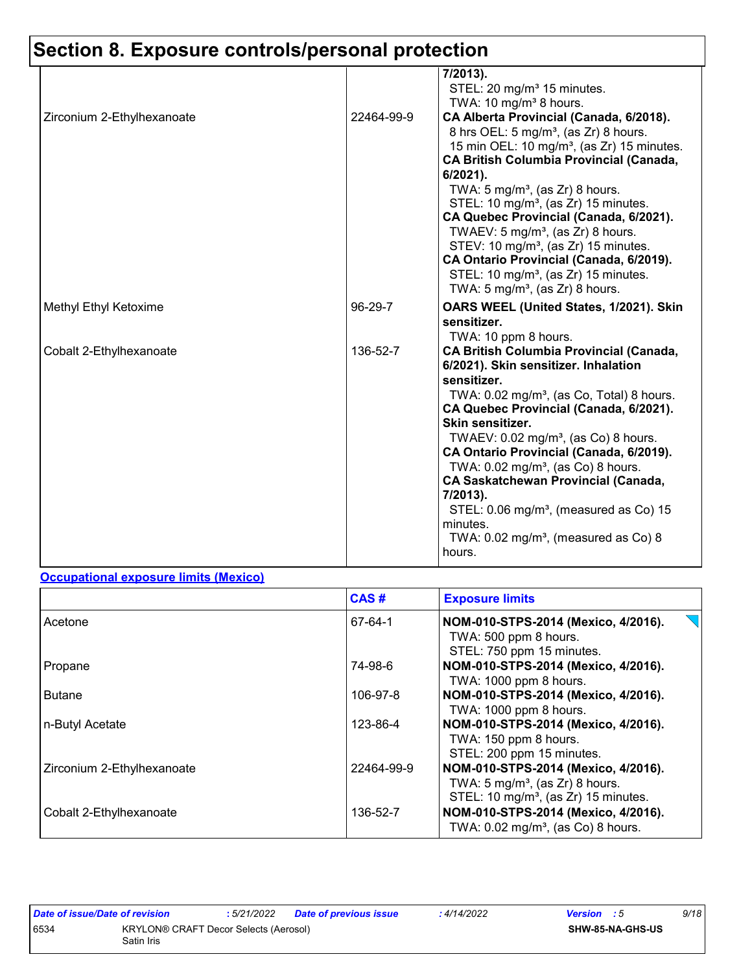|                            |            | 7/2013).<br>STEL: 20 mg/m <sup>3</sup> 15 minutes.<br>TWA: 10 mg/m <sup>3</sup> 8 hours.                                                                                                                                                                                                                                                                                                                                                                                                                                                                                                                              |
|----------------------------|------------|-----------------------------------------------------------------------------------------------------------------------------------------------------------------------------------------------------------------------------------------------------------------------------------------------------------------------------------------------------------------------------------------------------------------------------------------------------------------------------------------------------------------------------------------------------------------------------------------------------------------------|
| Zirconium 2-Ethylhexanoate | 22464-99-9 | CA Alberta Provincial (Canada, 6/2018).<br>8 hrs OEL: 5 mg/m <sup>3</sup> , (as Zr) 8 hours.<br>15 min OEL: 10 mg/m <sup>3</sup> , (as Zr) 15 minutes.<br><b>CA British Columbia Provincial (Canada,</b><br>6/2021).<br>TWA: $5 \text{ mg/m}^3$ , (as Zr) 8 hours.<br>STEL: 10 mg/m <sup>3</sup> , (as Zr) 15 minutes.<br>CA Quebec Provincial (Canada, 6/2021).<br>TWAEV: 5 mg/m <sup>3</sup> , (as $Zr$ ) 8 hours.<br>STEV: 10 mg/m <sup>3</sup> , (as Zr) 15 minutes.<br>CA Ontario Provincial (Canada, 6/2019).<br>STEL: 10 mg/m <sup>3</sup> , (as Zr) 15 minutes.<br>TWA: $5 \text{ mg/m}^3$ , (as Zr) 8 hours. |
| Methyl Ethyl Ketoxime      | 96-29-7    | OARS WEEL (United States, 1/2021). Skin<br>sensitizer.<br>TWA: 10 ppm 8 hours.                                                                                                                                                                                                                                                                                                                                                                                                                                                                                                                                        |
| Cobalt 2-Ethylhexanoate    | 136-52-7   | <b>CA British Columbia Provincial (Canada,</b><br>6/2021). Skin sensitizer. Inhalation<br>sensitizer.<br>TWA: 0.02 mg/m <sup>3</sup> , (as Co, Total) 8 hours.<br>CA Quebec Provincial (Canada, 6/2021).<br>Skin sensitizer.<br>TWAEV: 0.02 mg/m <sup>3</sup> , (as Co) 8 hours.<br>CA Ontario Provincial (Canada, 6/2019).<br>TWA: $0.02$ mg/m <sup>3</sup> , (as Co) 8 hours.<br><b>CA Saskatchewan Provincial (Canada,</b><br>7/2013).<br>STEL: 0.06 mg/m <sup>3</sup> , (measured as Co) 15<br>minutes.<br>TWA: $0.02 \text{ mg/m}^3$ , (measured as Co) 8<br>hours.                                              |

#### **Occupational exposure limits (Mexico)**

|                            | CAS#       | <b>Exposure limits</b>                                                                                                                |
|----------------------------|------------|---------------------------------------------------------------------------------------------------------------------------------------|
| Acetone                    | 67-64-1    | NOM-010-STPS-2014 (Mexico, 4/2016).<br>TWA: 500 ppm 8 hours.<br>STEL: 750 ppm 15 minutes.                                             |
| Propane                    | 74-98-6    | NOM-010-STPS-2014 (Mexico, 4/2016).<br>TWA: 1000 ppm 8 hours.                                                                         |
| <b>Butane</b>              | 106-97-8   | NOM-010-STPS-2014 (Mexico, 4/2016).<br>TWA: 1000 ppm 8 hours.                                                                         |
| n-Butyl Acetate            | 123-86-4   | NOM-010-STPS-2014 (Mexico, 4/2016).<br>TWA: 150 ppm 8 hours.<br>STEL: 200 ppm 15 minutes.                                             |
| Zirconium 2-Ethylhexanoate | 22464-99-9 | NOM-010-STPS-2014 (Mexico, 4/2016).<br>TWA: $5 \text{ mg/m}^3$ , (as Zr) 8 hours.<br>STEL: 10 mg/m <sup>3</sup> , (as Zr) 15 minutes. |
| Cobalt 2-Ethylhexanoate    | 136-52-7   | NOM-010-STPS-2014 (Mexico, 4/2016).<br>TWA: 0.02 mg/m <sup>3</sup> , (as Co) 8 hours.                                                 |

| Date of issue/Date of revision |                                                            | : 5/21/2022 | <b>Date of previous issue</b> | : 4/14/2022 | <b>Version</b> : 5 |                  | 9/18 |
|--------------------------------|------------------------------------------------------------|-------------|-------------------------------|-------------|--------------------|------------------|------|
| 6534                           | <b>KRYLON® CRAFT Decor Selects (Aerosol)</b><br>Satin Iris |             |                               |             |                    | SHW-85-NA-GHS-US |      |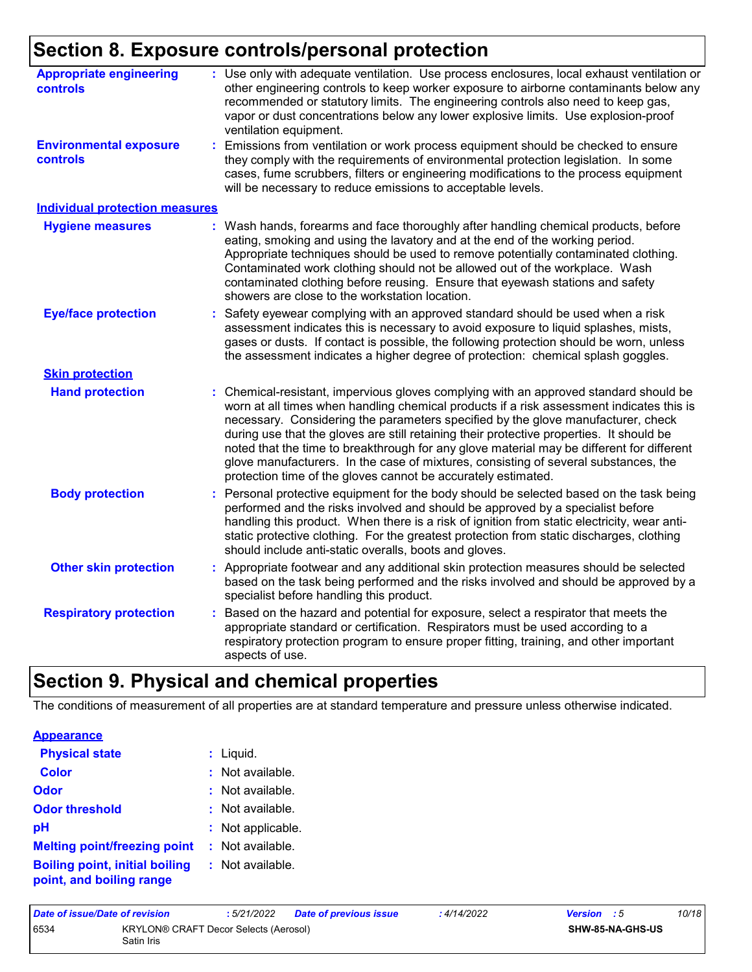| <b>Appropriate engineering</b><br>controls       | Use only with adequate ventilation. Use process enclosures, local exhaust ventilation or<br>other engineering controls to keep worker exposure to airborne contaminants below any<br>recommended or statutory limits. The engineering controls also need to keep gas,<br>vapor or dust concentrations below any lower explosive limits. Use explosion-proof<br>ventilation equipment.                                                                                                                                                                                                                                |
|--------------------------------------------------|----------------------------------------------------------------------------------------------------------------------------------------------------------------------------------------------------------------------------------------------------------------------------------------------------------------------------------------------------------------------------------------------------------------------------------------------------------------------------------------------------------------------------------------------------------------------------------------------------------------------|
| <b>Environmental exposure</b><br><b>controls</b> | Emissions from ventilation or work process equipment should be checked to ensure<br>they comply with the requirements of environmental protection legislation. In some<br>cases, fume scrubbers, filters or engineering modifications to the process equipment<br>will be necessary to reduce emissions to acceptable levels.                                                                                                                                                                                                                                                                                        |
| <b>Individual protection measures</b>            |                                                                                                                                                                                                                                                                                                                                                                                                                                                                                                                                                                                                                      |
| <b>Hygiene measures</b>                          | Wash hands, forearms and face thoroughly after handling chemical products, before<br>eating, smoking and using the lavatory and at the end of the working period.<br>Appropriate techniques should be used to remove potentially contaminated clothing.<br>Contaminated work clothing should not be allowed out of the workplace. Wash<br>contaminated clothing before reusing. Ensure that eyewash stations and safety<br>showers are close to the workstation location.                                                                                                                                            |
| <b>Eye/face protection</b>                       | Safety eyewear complying with an approved standard should be used when a risk<br>assessment indicates this is necessary to avoid exposure to liquid splashes, mists,<br>gases or dusts. If contact is possible, the following protection should be worn, unless<br>the assessment indicates a higher degree of protection: chemical splash goggles.                                                                                                                                                                                                                                                                  |
| <b>Skin protection</b>                           |                                                                                                                                                                                                                                                                                                                                                                                                                                                                                                                                                                                                                      |
| <b>Hand protection</b>                           | Chemical-resistant, impervious gloves complying with an approved standard should be<br>worn at all times when handling chemical products if a risk assessment indicates this is<br>necessary. Considering the parameters specified by the glove manufacturer, check<br>during use that the gloves are still retaining their protective properties. It should be<br>noted that the time to breakthrough for any glove material may be different for different<br>glove manufacturers. In the case of mixtures, consisting of several substances, the<br>protection time of the gloves cannot be accurately estimated. |
| <b>Body protection</b>                           | Personal protective equipment for the body should be selected based on the task being<br>performed and the risks involved and should be approved by a specialist before<br>handling this product. When there is a risk of ignition from static electricity, wear anti-<br>static protective clothing. For the greatest protection from static discharges, clothing<br>should include anti-static overalls, boots and gloves.                                                                                                                                                                                         |
| <b>Other skin protection</b>                     | : Appropriate footwear and any additional skin protection measures should be selected<br>based on the task being performed and the risks involved and should be approved by a<br>specialist before handling this product.                                                                                                                                                                                                                                                                                                                                                                                            |
| <b>Respiratory protection</b>                    | Based on the hazard and potential for exposure, select a respirator that meets the<br>appropriate standard or certification. Respirators must be used according to a<br>respiratory protection program to ensure proper fitting, training, and other important<br>aspects of use.                                                                                                                                                                                                                                                                                                                                    |

# **Section 9. Physical and chemical properties**

The conditions of measurement of all properties are at standard temperature and pressure unless otherwise indicated.

| <b>Appearance</b> |  |  |  |  |
|-------------------|--|--|--|--|
|                   |  |  |  |  |

| <b>Physical state</b>                                             | $:$ Liquid.       |  |
|-------------------------------------------------------------------|-------------------|--|
| <b>Color</b>                                                      | : Not available.  |  |
| Odor                                                              | : Not available.  |  |
| <b>Odor threshold</b>                                             | : Not available.  |  |
| рH                                                                | : Not applicable. |  |
| <b>Melting point/freezing point</b>                               | : Not available.  |  |
| <b>Boiling point, initial boiling</b><br>point, and boiling range | : Not available.  |  |

| Date of issue/Date of revision |                                                     | :5/21/2022 | <b>Date of previous issue</b> | : 4/14/2022 | <b>Version</b> : 5      | 10/18 |
|--------------------------------|-----------------------------------------------------|------------|-------------------------------|-------------|-------------------------|-------|
| 6534                           | KRYLON® CRAFT Decor Selects (Aerosol)<br>Satin Iris |            |                               |             | <b>SHW-85-NA-GHS-US</b> |       |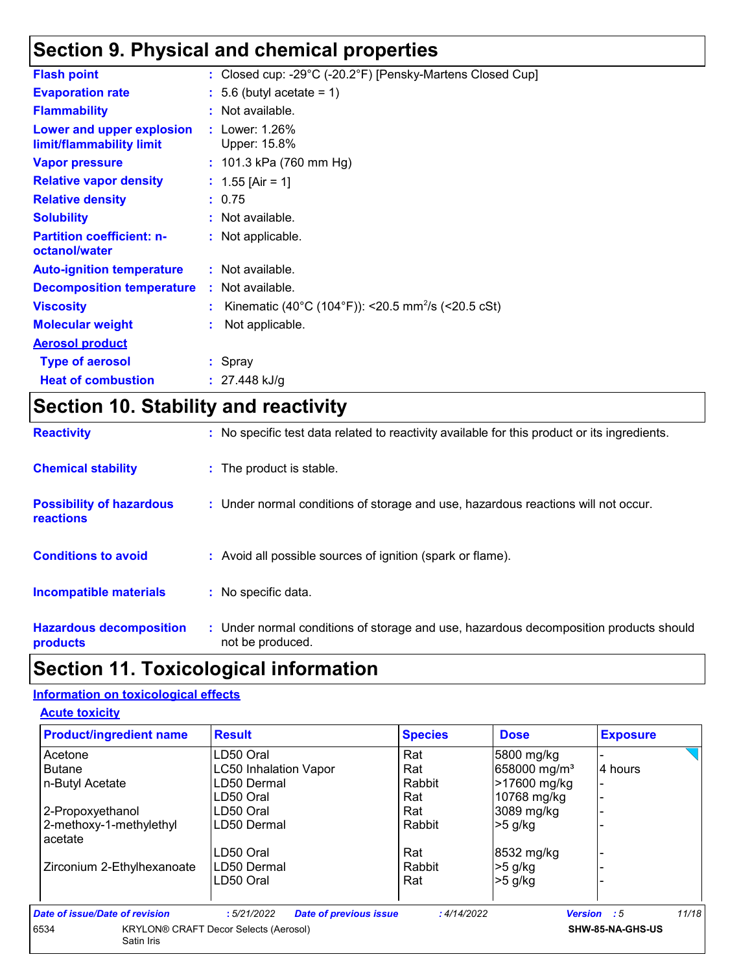## **Section 9. Physical and chemical properties**

| <b>Flash point</b>                                    | : Closed cup: -29°C (-20.2°F) [Pensky-Martens Closed Cup]      |
|-------------------------------------------------------|----------------------------------------------------------------|
| <b>Evaporation rate</b>                               | $: 5.6$ (butyl acetate = 1)                                    |
| <b>Flammability</b>                                   | : Not available.                                               |
| Lower and upper explosion<br>limit/flammability limit | : Lower: $1.26\%$<br>Upper: 15.8%                              |
| <b>Vapor pressure</b>                                 | : $101.3$ kPa (760 mm Hg)                                      |
| <b>Relative vapor density</b>                         | : $1.55$ [Air = 1]                                             |
| <b>Relative density</b>                               | : 0.75                                                         |
| <b>Solubility</b>                                     | : Not available.                                               |
| <b>Partition coefficient: n-</b><br>octanol/water     | : Not applicable.                                              |
| <b>Auto-ignition temperature</b>                      | : Not available.                                               |
| <b>Decomposition temperature</b>                      | : Not available.                                               |
| <b>Viscosity</b>                                      | Kinematic (40°C (104°F)): <20.5 mm <sup>2</sup> /s (<20.5 cSt) |
| <b>Molecular weight</b>                               | Not applicable.                                                |
| <b>Aerosol product</b>                                |                                                                |
| <b>Type of aerosol</b>                                | : Spray                                                        |
| <b>Heat of combustion</b>                             | : $27.448$ kJ/g                                                |
|                                                       |                                                                |

## **Section 10. Stability and reactivity**

| <b>Reactivity</b>                            | : No specific test data related to reactivity available for this product or its ingredients.              |
|----------------------------------------------|-----------------------------------------------------------------------------------------------------------|
| <b>Chemical stability</b>                    | : The product is stable.                                                                                  |
| <b>Possibility of hazardous</b><br>reactions | : Under normal conditions of storage and use, hazardous reactions will not occur.                         |
| <b>Conditions to avoid</b>                   | : Avoid all possible sources of ignition (spark or flame).                                                |
| Incompatible materials                       | : No specific data.                                                                                       |
| <b>Hazardous decomposition</b><br>products   | : Under normal conditions of storage and use, hazardous decomposition products should<br>not be produced. |

# **Section 11. Toxicological information**

#### **Information on toxicological effects**

| <b>Acute toxicity</b> |
|-----------------------|
|-----------------------|

| <b>Product/ingredient name</b>     | <b>Result</b>                                | <b>Species</b> | <b>Dose</b>              | <b>Exposure</b>             |
|------------------------------------|----------------------------------------------|----------------|--------------------------|-----------------------------|
| Acetone                            | LD50 Oral                                    | Rat            | 5800 mg/kg               |                             |
| <b>Butane</b>                      | <b>LC50 Inhalation Vapor</b>                 | Rat            | 658000 mg/m <sup>3</sup> | 4 hours                     |
| n-Butyl Acetate                    | LD50 Dermal                                  | Rabbit         | >17600 mg/kg             | $\blacksquare$              |
|                                    | LD50 Oral                                    | Rat            | 10768 mg/kg              |                             |
| 2-Propoxyethanol                   | LD50 Oral                                    | Rat            | 3089 mg/kg               |                             |
| 2-methoxy-1-methylethyl<br>acetate | LD50 Dermal                                  | Rabbit         | $>5$ g/kg                |                             |
|                                    | LD50 Oral                                    | Rat            | 8532 mg/kg               |                             |
| Zirconium 2-Ethylhexanoate         | LD50 Dermal                                  | Rabbit         | $>5$ g/kg                |                             |
|                                    | LD50 Oral                                    | Rat            | $>5$ g/kg                |                             |
| Date of issue/Date of revision     | <b>Date of previous issue</b><br>:5/21/2022  | : 4/14/2022    |                          | 11/18<br><b>Version</b> : 5 |
| 6534<br>Satin Iris                 | <b>KRYLON® CRAFT Decor Selects (Aerosol)</b> |                |                          | SHW-85-NA-GHS-US            |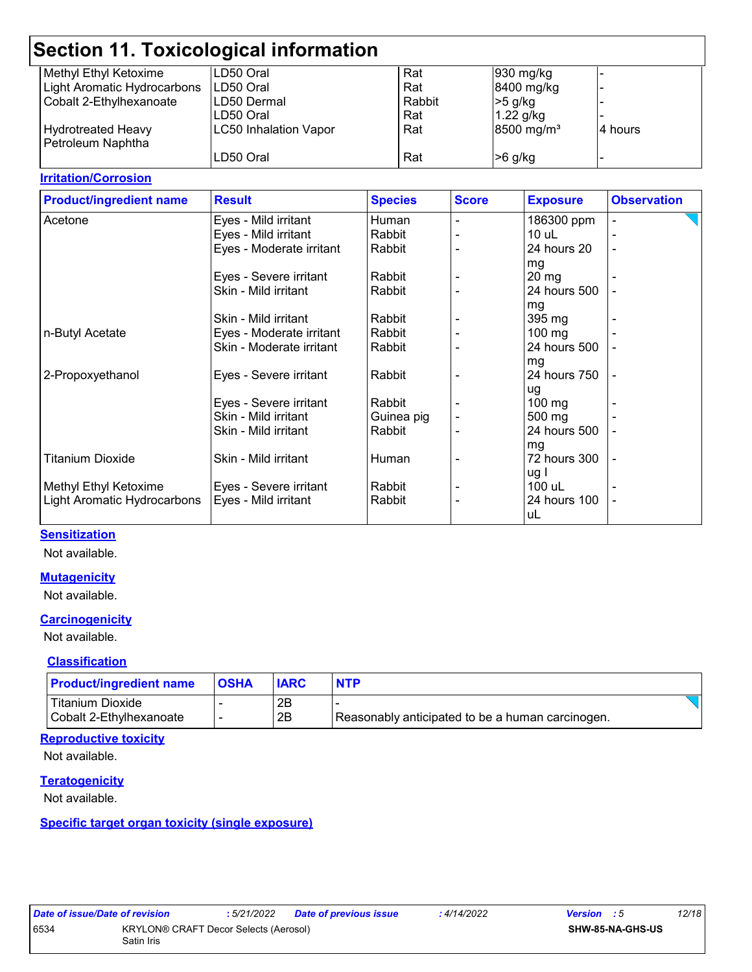| Section 11. Toxicological information |                              |        |                        |                          |  |
|---------------------------------------|------------------------------|--------|------------------------|--------------------------|--|
| Methyl Ethyl Ketoxime                 | LD50 Oral                    | Rat    | 930 mg/kg              |                          |  |
| Light Aromatic Hydrocarbons           | LD50 Oral                    | Rat    | 8400 mg/kg             |                          |  |
| Cobalt 2-Ethylhexanoate               | LD50 Dermal                  | Rabbit | $>5$ g/kg              |                          |  |
|                                       | LD50 Oral                    | Rat    | $1.22$ g/kg            |                          |  |
| <b>Hydrotreated Heavy</b>             | <b>LC50 Inhalation Vapor</b> | Rat    | 8500 mg/m <sup>3</sup> | l4 hours                 |  |
| Petroleum Naphtha                     |                              |        |                        |                          |  |
|                                       | LD50 Oral                    | Rat    | $>6$ g/kg              | $\overline{\phantom{0}}$ |  |

#### **Irritation/Corrosion**

| <b>Product/ingredient name</b> | <b>Result</b>            | <b>Species</b> | <b>Score</b> | <b>Exposure</b>  | <b>Observation</b> |
|--------------------------------|--------------------------|----------------|--------------|------------------|--------------------|
| Acetone                        | Eyes - Mild irritant     | Human          |              | 186300 ppm       |                    |
|                                | Eyes - Mild irritant     | Rabbit         |              | $10$ uL          |                    |
|                                | Eyes - Moderate irritant | Rabbit         |              | 24 hours 20      | $\blacksquare$     |
|                                |                          |                |              | mg               |                    |
|                                | Eyes - Severe irritant   | Rabbit         |              | $20 \, mg$       |                    |
|                                | Skin - Mild irritant     | Rabbit         |              | 24 hours 500     |                    |
|                                |                          |                |              | mg               |                    |
|                                | Skin - Mild irritant     | Rabbit         |              | 395 mg           |                    |
| n-Butyl Acetate                | Eyes - Moderate irritant | Rabbit         |              | 100 mg           |                    |
|                                | Skin - Moderate irritant | Rabbit         |              | 24 hours 500     |                    |
|                                |                          |                |              | mg               |                    |
| 2-Propoxyethanol               | Eyes - Severe irritant   | Rabbit         |              | 24 hours 750     |                    |
|                                |                          |                |              | ug               |                    |
|                                | Eyes - Severe irritant   | Rabbit         |              | $100 \text{ mg}$ |                    |
|                                | Skin - Mild irritant     | Guinea pig     |              | 500 mg           |                    |
|                                | Skin - Mild irritant     | Rabbit         |              | 24 hours 500     |                    |
|                                |                          |                |              | mg               |                    |
| <b>Titanium Dioxide</b>        | Skin - Mild irritant     | Human          |              | 72 hours 300     |                    |
|                                |                          |                |              | ug I             |                    |
| Methyl Ethyl Ketoxime          | Eyes - Severe irritant   | Rabbit         |              | 100 uL           |                    |
| Light Aromatic Hydrocarbons    | Eyes - Mild irritant     | Rabbit         |              | 24 hours 100     | ۰                  |
|                                |                          |                |              | uL               |                    |

#### **Sensitization**

Not available.

#### **Mutagenicity**

Not available.

#### **Carcinogenicity**

Not available.

#### **Classification**

| <b>Product/ingredient name</b> | <b>OSHA</b> | <b>IARC</b> | <b>NTP</b>                                       |  |
|--------------------------------|-------------|-------------|--------------------------------------------------|--|
| Titanium Dioxide               |             | 2Β          |                                                  |  |
| Cobalt 2-Ethylhexanoate        |             | 2B          | Reasonably anticipated to be a human carcinogen. |  |

#### **Reproductive toxicity**

Not available.

#### **Teratogenicity**

Not available.

#### **Specific target organ toxicity (single exposure)**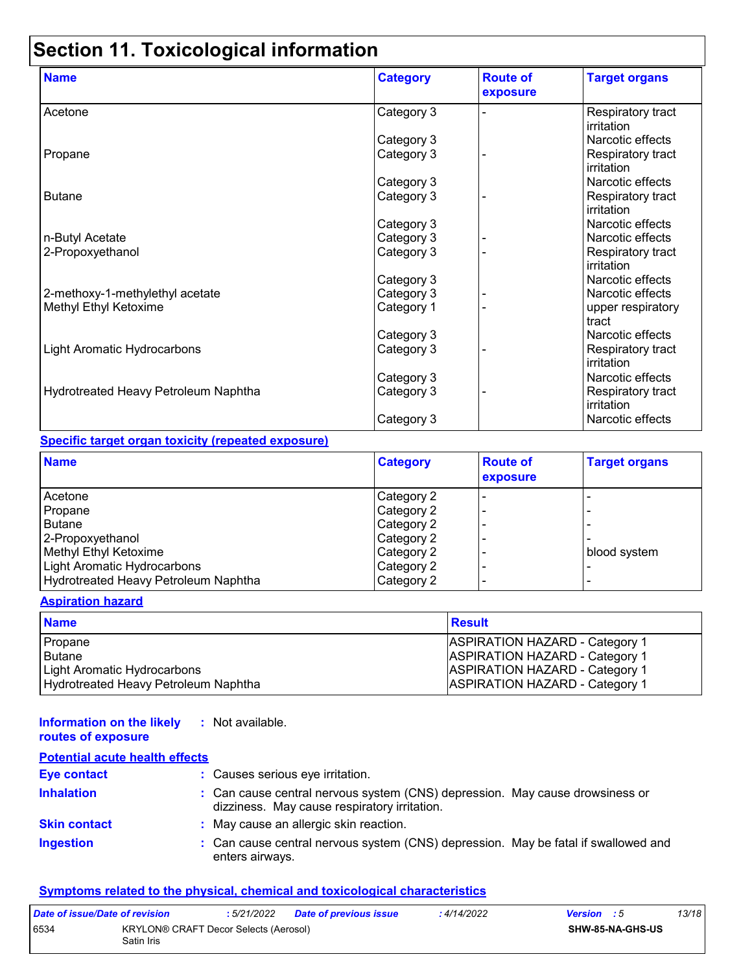# **Section 11. Toxicological information**

| <b>Name</b>                          | <b>Category</b> | <b>Route of</b><br>exposure | <b>Target organs</b>            |
|--------------------------------------|-----------------|-----------------------------|---------------------------------|
| Acetone                              | Category 3      |                             | Respiratory tract<br>irritation |
|                                      | Category 3      |                             | Narcotic effects                |
| Propane                              | Category 3      |                             | Respiratory tract<br>irritation |
|                                      | Category 3      |                             | Narcotic effects                |
| <b>Butane</b>                        | Category 3      |                             | Respiratory tract<br>irritation |
|                                      | Category 3      |                             | Narcotic effects                |
| n-Butyl Acetate                      | Category 3      |                             | Narcotic effects                |
| 2-Propoxyethanol                     | Category 3      |                             | Respiratory tract<br>irritation |
|                                      | Category 3      |                             | Narcotic effects                |
| 2-methoxy-1-methylethyl acetate      | Category 3      |                             | Narcotic effects                |
| Methyl Ethyl Ketoxime                | Category 1      |                             | upper respiratory<br>tract      |
|                                      | Category 3      |                             | Narcotic effects                |
| <b>Light Aromatic Hydrocarbons</b>   | Category 3      |                             | Respiratory tract<br>irritation |
|                                      | Category 3      |                             | Narcotic effects                |
| Hydrotreated Heavy Petroleum Naphtha | Category 3      |                             | Respiratory tract<br>irritation |
|                                      | Category 3      |                             | Narcotic effects                |

#### **Specific target organ toxicity (repeated exposure)**

| <b>Name</b>                          | <b>Category</b>   | <b>Route of</b><br>exposure | <b>Target organs</b> |
|--------------------------------------|-------------------|-----------------------------|----------------------|
| Acetone                              | <b>Category 2</b> |                             |                      |
| Propane                              | Category 2        |                             |                      |
| <b>Butane</b>                        | Category 2        |                             |                      |
| 2-Propoxyethanol                     | Category 2        |                             |                      |
| Methyl Ethyl Ketoxime                | Category 2        |                             | blood system         |
| Light Aromatic Hydrocarbons          | Category 2        |                             |                      |
| Hydrotreated Heavy Petroleum Naphtha | Category 2        |                             |                      |

#### **Aspiration hazard**

| <b>Name</b>                          | <b>Result</b>                         |
|--------------------------------------|---------------------------------------|
| Propane                              | <b>ASPIRATION HAZARD - Category 1</b> |
| Butane                               | <b>ASPIRATION HAZARD - Category 1</b> |
| Light Aromatic Hydrocarbons          | <b>ASPIRATION HAZARD - Category 1</b> |
| Hydrotreated Heavy Petroleum Naphtha | <b>ASPIRATION HAZARD - Category 1</b> |

#### **Information on the likely :** Not available.

#### **routes of exposure Potential acute health effects**

| Potential acute nealth effects |                                                                                                                              |
|--------------------------------|------------------------------------------------------------------------------------------------------------------------------|
| <b>Eye contact</b>             | : Causes serious eye irritation.                                                                                             |
| <b>Inhalation</b>              | : Can cause central nervous system (CNS) depression. May cause drowsiness or<br>dizziness. May cause respiratory irritation. |
| <b>Skin contact</b>            | : May cause an allergic skin reaction.                                                                                       |
| <b>Ingestion</b>               | : Can cause central nervous system (CNS) depression. May be fatal if swallowed and<br>enters airways.                        |

#### **Symptoms related to the physical, chemical and toxicological characteristics**

| Date of issue/Date of revision                              |  | : 5/21/2022 | Date of previous issue | : 4/14/2022 | <b>Version</b> : 5      | 13/18 |
|-------------------------------------------------------------|--|-------------|------------------------|-------------|-------------------------|-------|
| 6534<br>KRYLON® CRAFT Decor Selects (Aerosol)<br>Satin Iris |  |             |                        |             | <b>SHW-85-NA-GHS-US</b> |       |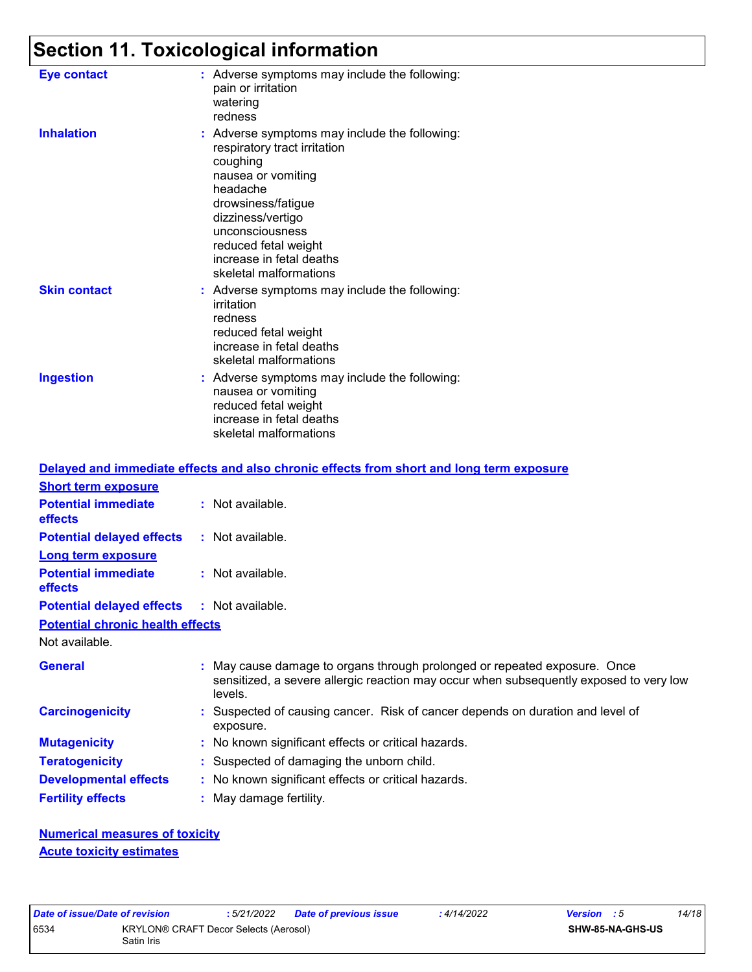# **Section 11. Toxicological information**

| <b>Eye contact</b>  | : Adverse symptoms may include the following:<br>pain or irritation<br>watering<br>redness                                                                                                                                                                              |
|---------------------|-------------------------------------------------------------------------------------------------------------------------------------------------------------------------------------------------------------------------------------------------------------------------|
| <b>Inhalation</b>   | : Adverse symptoms may include the following:<br>respiratory tract irritation<br>coughing<br>nausea or vomiting<br>headache<br>drowsiness/fatigue<br>dizziness/vertigo<br>unconsciousness<br>reduced fetal weight<br>increase in fetal deaths<br>skeletal malformations |
| <b>Skin contact</b> | : Adverse symptoms may include the following:<br>irritation<br>redness<br>reduced fetal weight<br>increase in fetal deaths<br>skeletal malformations                                                                                                                    |
| <b>Ingestion</b>    | : Adverse symptoms may include the following:<br>nausea or vomiting<br>reduced fetal weight<br>increase in fetal deaths<br>skeletal malformations                                                                                                                       |

|                                                   | Delayed and immediate effects and also chronic effects from short and long term exposure                                                                                       |
|---------------------------------------------------|--------------------------------------------------------------------------------------------------------------------------------------------------------------------------------|
| <b>Short term exposure</b>                        |                                                                                                                                                                                |
| <b>Potential immediate</b><br>effects             | : Not available.                                                                                                                                                               |
| <b>Potential delayed effects</b>                  | $:$ Not available.                                                                                                                                                             |
| Long term exposure                                |                                                                                                                                                                                |
| <b>Potential immediate</b><br>effects             | $:$ Not available.                                                                                                                                                             |
| <b>Potential delayed effects : Not available.</b> |                                                                                                                                                                                |
| <b>Potential chronic health effects</b>           |                                                                                                                                                                                |
| Not available.                                    |                                                                                                                                                                                |
| <b>General</b>                                    | : May cause damage to organs through prolonged or repeated exposure. Once<br>sensitized, a severe allergic reaction may occur when subsequently exposed to very low<br>levels. |
| <b>Carcinogenicity</b>                            | : Suspected of causing cancer. Risk of cancer depends on duration and level of<br>exposure.                                                                                    |
| <b>Mutagenicity</b>                               | : No known significant effects or critical hazards.                                                                                                                            |
| <b>Teratogenicity</b>                             | : Suspected of damaging the unborn child.                                                                                                                                      |
| <b>Developmental effects</b>                      | : No known significant effects or critical hazards.                                                                                                                            |
| <b>Fertility effects</b>                          | : May damage fertility.                                                                                                                                                        |

**Numerical measures of toxicity Acute toxicity estimates**

| Date of issue/Date of revision |                                                            | : 5/21/2022 | <b>Date of previous issue</b> | : 4/14/2022 | <b>Version</b> : 5 |                  | 14/18 |  |
|--------------------------------|------------------------------------------------------------|-------------|-------------------------------|-------------|--------------------|------------------|-------|--|
| 6534                           | <b>KRYLON® CRAFT Decor Selects (Aerosol)</b><br>Satin Iris |             |                               |             |                    | SHW-85-NA-GHS-US |       |  |

**SHW-85-NA-GHS-US**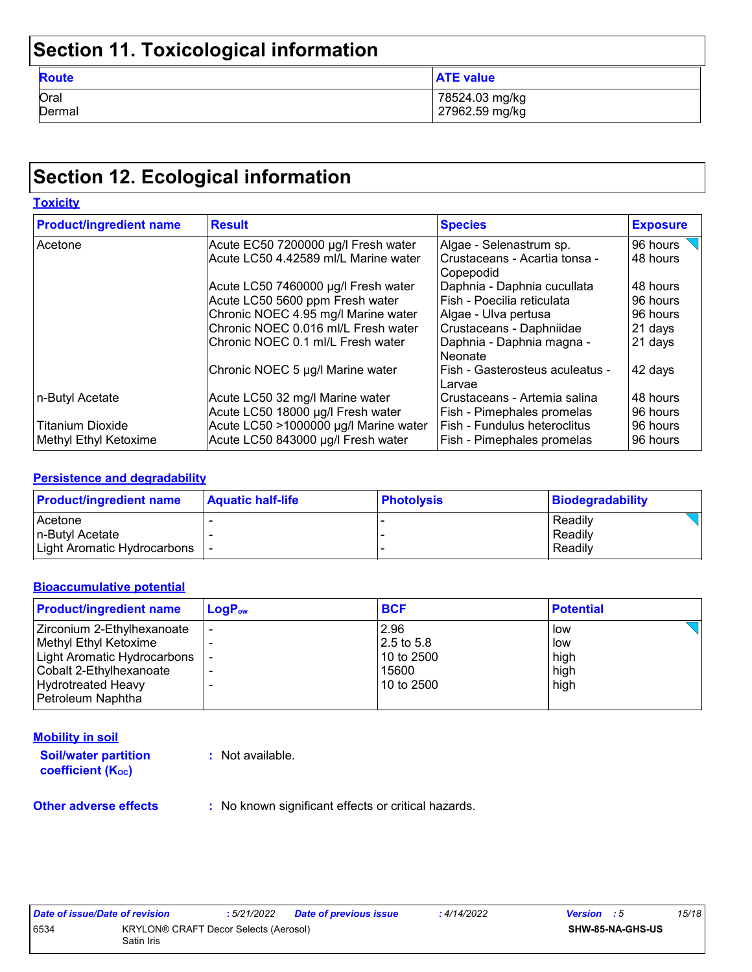## **Section 11. Toxicological information**

| <b>Route</b> | <b>ATE value</b> |
|--------------|------------------|
| Oral         | 78524.03 mg/kg   |
| Dermal       | 27962.59 mg/kg   |

## **Section 12. Ecological information**

| <b>Toxicity</b>                |                                       |                                                |                 |  |
|--------------------------------|---------------------------------------|------------------------------------------------|-----------------|--|
| <b>Product/ingredient name</b> | <b>Result</b>                         | <b>Species</b>                                 | <b>Exposure</b> |  |
| Acetone                        | Acute EC50 7200000 µg/l Fresh water   | Algae - Selenastrum sp.                        | 96 hours        |  |
|                                | Acute LC50 4.42589 ml/L Marine water  | l Crustaceans - Acartia tonsa -<br>l Copepodid | 48 hours        |  |
|                                | Acute LC50 7460000 µg/l Fresh water   | Daphnia - Daphnia cucullata                    | 48 hours        |  |
|                                | Acute LC50 5600 ppm Fresh water       | Fish - Poecilia reticulata                     | 96 hours        |  |
|                                | Chronic NOEC 4.95 mg/l Marine water   | Algae - Ulva pertusa                           | 96 hours        |  |
|                                | Chronic NOEC 0.016 ml/L Fresh water   | Crustaceans - Daphniidae                       | 21 days         |  |
|                                | Chronic NOEC 0.1 ml/L Fresh water     | Daphnia - Daphnia magna -<br>l Neonate         | 21 days         |  |
|                                | Chronic NOEC 5 µg/l Marine water      | Fish - Gasterosteus aculeatus -<br>Larvae      | 42 days         |  |
| n-Butyl Acetate                | Acute LC50 32 mg/l Marine water       | Crustaceans - Artemia salina                   | 48 hours        |  |
|                                | Acute LC50 18000 µg/l Fresh water     | Fish - Pimephales promelas                     | 96 hours        |  |
| <b>Titanium Dioxide</b>        | Acute LC50 >1000000 µg/l Marine water | Fish - Fundulus heteroclitus                   | 96 hours        |  |
| Methyl Ethyl Ketoxime          | Acute LC50 843000 µg/l Fresh water    | <b>Fish - Pimephales promelas</b>              | 96 hours        |  |

#### **Persistence and degradability**

| <b>Product/ingredient name</b> | <b>Aquatic half-life</b> | <b>Photolysis</b> | <b>Biodegradability</b> |
|--------------------------------|--------------------------|-------------------|-------------------------|
| Acetone                        |                          |                   | Readily                 |
| In-Butvl Acetate               |                          |                   | Readily                 |
| Light Aromatic Hydrocarbons    |                          |                   | Readily                 |

#### **Bioaccumulative potential**

| <b>Product/ingredient name</b>                                                                                                                                         | $\mathsf{LogP}_\mathsf{ow}$ | <b>BCF</b>                                                | <b>Potential</b>                   |
|------------------------------------------------------------------------------------------------------------------------------------------------------------------------|-----------------------------|-----------------------------------------------------------|------------------------------------|
| Zirconium 2-Ethylhexanoate<br>Methyl Ethyl Ketoxime<br><b>Light Aromatic Hydrocarbons</b><br>Cobalt 2-Ethylhexanoate<br><b>Hydrotreated Heavy</b><br>Petroleum Naphtha |                             | 2.96<br>$2.5$ to 5.8<br>10 to 2500<br>15600<br>10 to 2500 | low<br>low<br>high<br>high<br>high |

#### **Mobility in soil**

**Soil/water partition coefficient (KOC) :** Not available.

**Other adverse effects** : No known significant effects or critical hazards.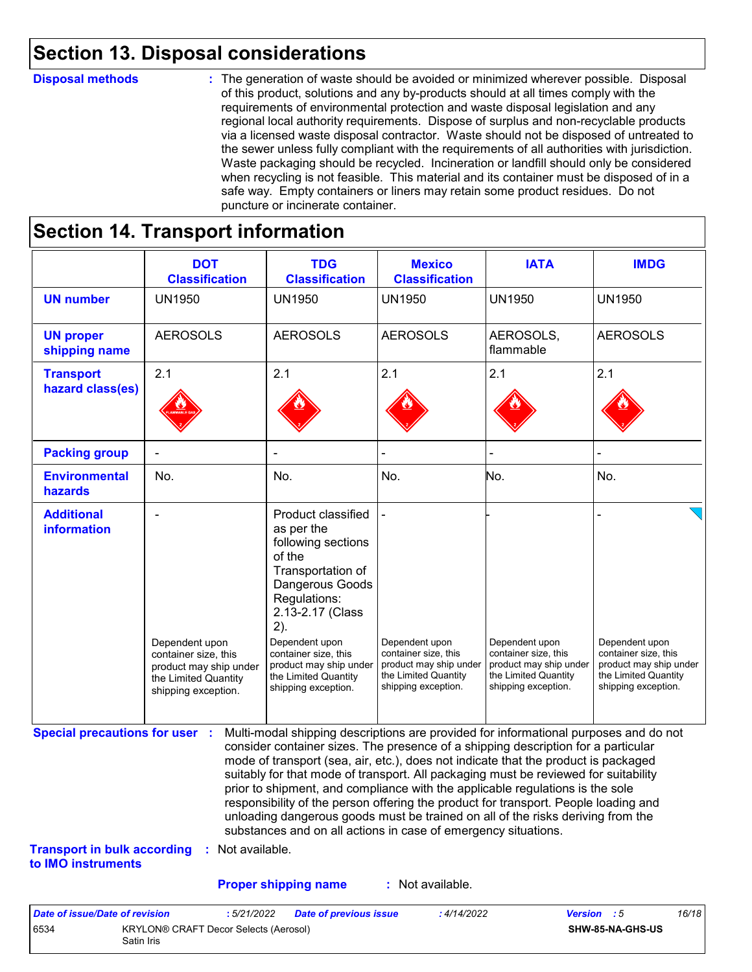### **Section 13. Disposal considerations**

#### **Disposal methods :**

The generation of waste should be avoided or minimized wherever possible. Disposal of this product, solutions and any by-products should at all times comply with the requirements of environmental protection and waste disposal legislation and any regional local authority requirements. Dispose of surplus and non-recyclable products via a licensed waste disposal contractor. Waste should not be disposed of untreated to the sewer unless fully compliant with the requirements of all authorities with jurisdiction. Waste packaging should be recycled. Incineration or landfill should only be considered when recycling is not feasible. This material and its container must be disposed of in a safe way. Empty containers or liners may retain some product residues. Do not puncture or incinerate container.

### **Section 14. Transport information**

6534 KRYLON® CRAFT Decor Selects (Aerosol)

Satin Iris

|                                                                             | <b>DOT</b><br><b>Classification</b>                                                                             | <b>TDG</b><br><b>Classification</b>                                                                                                                                                                                                                                                                                                                                                                                                                                                                                                                                                                                                                                                 | <b>Mexico</b><br><b>Classification</b>                                                                          | <b>IATA</b>                                                                                                     | <b>IMDG</b>                                                                                                     |
|-----------------------------------------------------------------------------|-----------------------------------------------------------------------------------------------------------------|-------------------------------------------------------------------------------------------------------------------------------------------------------------------------------------------------------------------------------------------------------------------------------------------------------------------------------------------------------------------------------------------------------------------------------------------------------------------------------------------------------------------------------------------------------------------------------------------------------------------------------------------------------------------------------------|-----------------------------------------------------------------------------------------------------------------|-----------------------------------------------------------------------------------------------------------------|-----------------------------------------------------------------------------------------------------------------|
| <b>UN number</b>                                                            | <b>UN1950</b>                                                                                                   | <b>UN1950</b>                                                                                                                                                                                                                                                                                                                                                                                                                                                                                                                                                                                                                                                                       | <b>UN1950</b>                                                                                                   | <b>UN1950</b>                                                                                                   | <b>UN1950</b>                                                                                                   |
| <b>UN proper</b><br>shipping name                                           | <b>AEROSOLS</b>                                                                                                 | <b>AEROSOLS</b>                                                                                                                                                                                                                                                                                                                                                                                                                                                                                                                                                                                                                                                                     | <b>AEROSOLS</b>                                                                                                 | AEROSOLS,<br>flammable                                                                                          | <b>AEROSOLS</b>                                                                                                 |
| <b>Transport</b><br>hazard class(es)                                        | 2.1                                                                                                             | 2.1                                                                                                                                                                                                                                                                                                                                                                                                                                                                                                                                                                                                                                                                                 | 2.1                                                                                                             | 2.1                                                                                                             | 2.1                                                                                                             |
| <b>Packing group</b>                                                        |                                                                                                                 |                                                                                                                                                                                                                                                                                                                                                                                                                                                                                                                                                                                                                                                                                     |                                                                                                                 |                                                                                                                 |                                                                                                                 |
| <b>Environmental</b><br>hazards                                             | No.                                                                                                             | No.                                                                                                                                                                                                                                                                                                                                                                                                                                                                                                                                                                                                                                                                                 | No.                                                                                                             | No.                                                                                                             | No.                                                                                                             |
| <b>Additional</b><br>information                                            | Dependent upon<br>container size, this<br>product may ship under<br>the Limited Quantity<br>shipping exception. | Product classified<br>as per the<br>following sections<br>of the<br>Transportation of<br>Dangerous Goods<br>Regulations:<br>2.13-2.17 (Class<br>2).<br>Dependent upon<br>container size, this<br>product may ship under<br>the Limited Quantity<br>shipping exception.                                                                                                                                                                                                                                                                                                                                                                                                              | Dependent upon<br>container size, this<br>product may ship under<br>the Limited Quantity<br>shipping exception. | Dependent upon<br>container size, this<br>product may ship under<br>the Limited Quantity<br>shipping exception. | Dependent upon<br>container size, this<br>product may ship under<br>the Limited Quantity<br>shipping exception. |
| <b>Special precautions for user :</b><br><b>Transport in bulk according</b> | : Not available.                                                                                                | Multi-modal shipping descriptions are provided for informational purposes and do not<br>consider container sizes. The presence of a shipping description for a particular<br>mode of transport (sea, air, etc.), does not indicate that the product is packaged<br>suitably for that mode of transport. All packaging must be reviewed for suitability<br>prior to shipment, and compliance with the applicable regulations is the sole<br>responsibility of the person offering the product for transport. People loading and<br>unloading dangerous goods must be trained on all of the risks deriving from the<br>substances and on all actions in case of emergency situations. |                                                                                                                 |                                                                                                                 |                                                                                                                 |
| to IMO instruments                                                          |                                                                                                                 |                                                                                                                                                                                                                                                                                                                                                                                                                                                                                                                                                                                                                                                                                     |                                                                                                                 |                                                                                                                 |                                                                                                                 |
|                                                                             |                                                                                                                 | <b>Proper shipping name</b>                                                                                                                                                                                                                                                                                                                                                                                                                                                                                                                                                                                                                                                         | : Not available.                                                                                                |                                                                                                                 |                                                                                                                 |

**SHW-85-NA-GHS-US**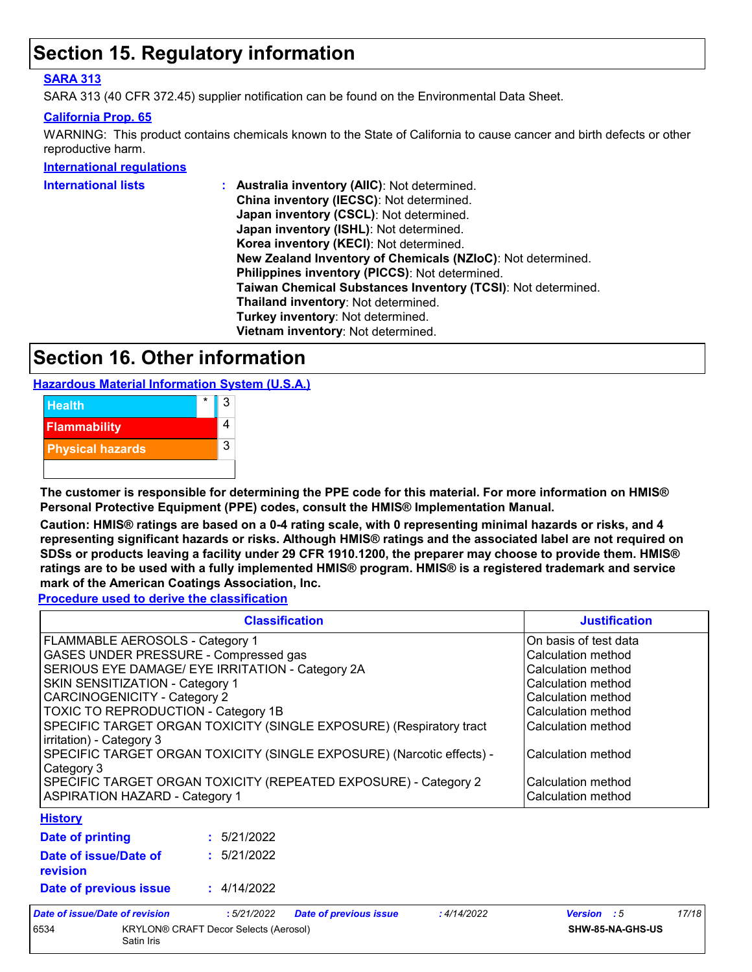### **Section 15. Regulatory information**

#### **SARA 313**

SARA 313 (40 CFR 372.45) supplier notification can be found on the Environmental Data Sheet.

#### **California Prop. 65**

WARNING: This product contains chemicals known to the State of California to cause cancer and birth defects or other reproductive harm.

#### **International regulations**

| <b>International lists</b> | Australia inventory (AIIC): Not determined.                  |
|----------------------------|--------------------------------------------------------------|
|                            | China inventory (IECSC): Not determined.                     |
|                            | Japan inventory (CSCL): Not determined.                      |
|                            | Japan inventory (ISHL): Not determined.                      |
|                            | Korea inventory (KECI): Not determined.                      |
|                            | New Zealand Inventory of Chemicals (NZIoC): Not determined.  |
|                            | Philippines inventory (PICCS): Not determined.               |
|                            | Taiwan Chemical Substances Inventory (TCSI): Not determined. |
|                            | Thailand inventory: Not determined.                          |
|                            | Turkey inventory: Not determined.                            |
|                            | Vietnam inventory: Not determined.                           |
|                            |                                                              |

### **Section 16. Other information**

**Hazardous Material Information System (U.S.A.)**



**The customer is responsible for determining the PPE code for this material. For more information on HMIS® Personal Protective Equipment (PPE) codes, consult the HMIS® Implementation Manual.**

**Caution: HMIS® ratings are based on a 0-4 rating scale, with 0 representing minimal hazards or risks, and 4 representing significant hazards or risks. Although HMIS® ratings and the associated label are not required on SDSs or products leaving a facility under 29 CFR 1910.1200, the preparer may choose to provide them. HMIS® ratings are to be used with a fully implemented HMIS® program. HMIS® is a registered trademark and service mark of the American Coatings Association, Inc.**

**Procedure used to derive the classification**

| <b>Classification</b>                                                                                                                                                                                                                                                                                                                                                                                                                                                                                                                                      |             |                               |                                                                                                                                                                                                                             | <b>Justification</b>        |
|------------------------------------------------------------------------------------------------------------------------------------------------------------------------------------------------------------------------------------------------------------------------------------------------------------------------------------------------------------------------------------------------------------------------------------------------------------------------------------------------------------------------------------------------------------|-------------|-------------------------------|-----------------------------------------------------------------------------------------------------------------------------------------------------------------------------------------------------------------------------|-----------------------------|
| FLAMMABLE AEROSOLS - Category 1<br>GASES UNDER PRESSURE - Compressed gas<br>SERIOUS EYE DAMAGE/ EYE IRRITATION - Category 2A<br>SKIN SENSITIZATION - Category 1<br><b>CARCINOGENICITY - Category 2</b><br><b>TOXIC TO REPRODUCTION - Category 1B</b><br>SPECIFIC TARGET ORGAN TOXICITY (SINGLE EXPOSURE) (Respiratory tract<br>irritation) - Category 3<br>SPECIFIC TARGET ORGAN TOXICITY (SINGLE EXPOSURE) (Narcotic effects) -<br>Category 3<br>SPECIFIC TARGET ORGAN TOXICITY (REPEATED EXPOSURE) - Category 2<br><b>ASPIRATION HAZARD - Category 1</b> |             |                               | On basis of test data<br>Calculation method<br>Calculation method<br>Calculation method<br>Calculation method<br>Calculation method<br>Calculation method<br>Calculation method<br>Calculation method<br>Calculation method |                             |
| <b>History</b><br>Date of printing                                                                                                                                                                                                                                                                                                                                                                                                                                                                                                                         | : 5/21/2022 |                               |                                                                                                                                                                                                                             |                             |
| Date of issue/Date of<br>revision                                                                                                                                                                                                                                                                                                                                                                                                                                                                                                                          | : 5/21/2022 |                               |                                                                                                                                                                                                                             |                             |
| Date of previous issue                                                                                                                                                                                                                                                                                                                                                                                                                                                                                                                                     | : 4/14/2022 |                               |                                                                                                                                                                                                                             |                             |
| <b>Date of issue/Date of revision</b>                                                                                                                                                                                                                                                                                                                                                                                                                                                                                                                      | :5/21/2022  | <b>Date of previous issue</b> | :4/14/2022                                                                                                                                                                                                                  | 17/18<br><b>Version</b> : 5 |



6534 KRYLON® CRAFT Decor Selects (Aerosol) Satin Iris